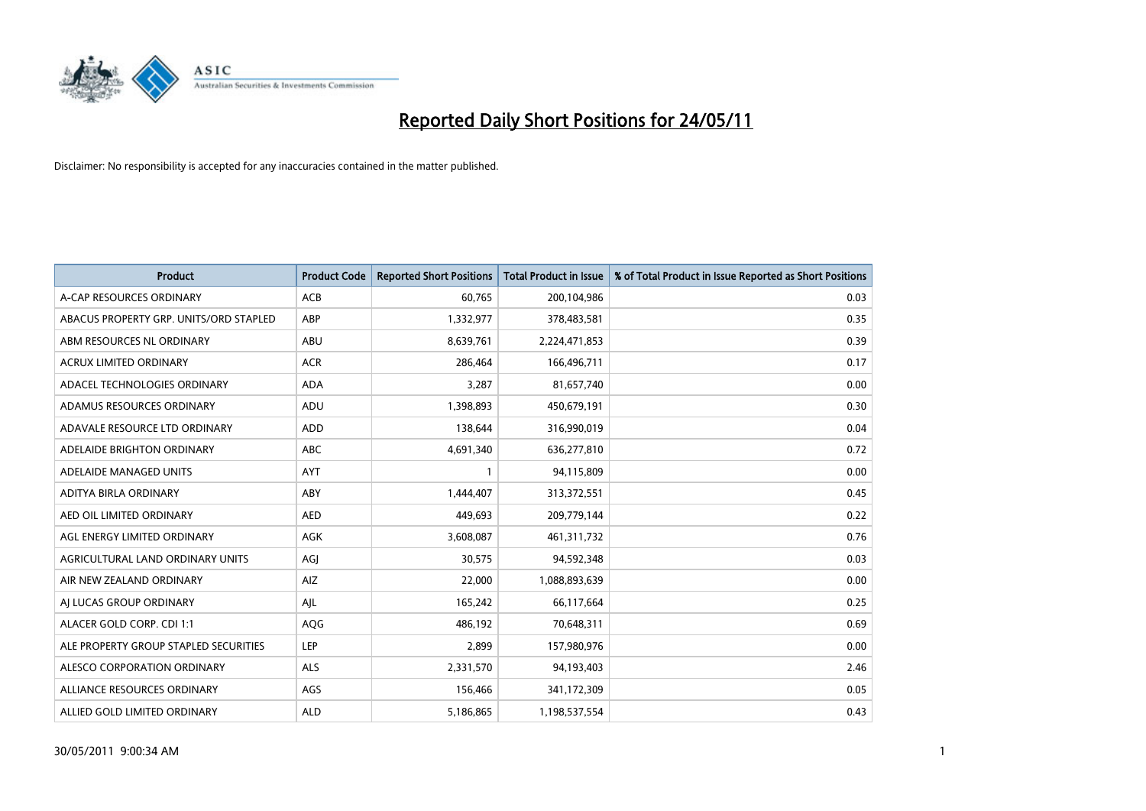

| <b>Product</b>                         | <b>Product Code</b> | <b>Reported Short Positions</b> | <b>Total Product in Issue</b> | % of Total Product in Issue Reported as Short Positions |
|----------------------------------------|---------------------|---------------------------------|-------------------------------|---------------------------------------------------------|
| A-CAP RESOURCES ORDINARY               | ACB                 | 60,765                          | 200,104,986                   | 0.03                                                    |
| ABACUS PROPERTY GRP. UNITS/ORD STAPLED | ABP                 | 1,332,977                       | 378,483,581                   | 0.35                                                    |
| ABM RESOURCES NL ORDINARY              | ABU                 | 8,639,761                       | 2,224,471,853                 | 0.39                                                    |
| ACRUX LIMITED ORDINARY                 | <b>ACR</b>          | 286,464                         | 166,496,711                   | 0.17                                                    |
| ADACEL TECHNOLOGIES ORDINARY           | <b>ADA</b>          | 3,287                           | 81,657,740                    | 0.00                                                    |
| ADAMUS RESOURCES ORDINARY              | ADU                 | 1,398,893                       | 450,679,191                   | 0.30                                                    |
| ADAVALE RESOURCE LTD ORDINARY          | ADD                 | 138.644                         | 316,990,019                   | 0.04                                                    |
| ADELAIDE BRIGHTON ORDINARY             | <b>ABC</b>          | 4,691,340                       | 636,277,810                   | 0.72                                                    |
| ADELAIDE MANAGED UNITS                 | <b>AYT</b>          |                                 | 94,115,809                    | 0.00                                                    |
| ADITYA BIRLA ORDINARY                  | ABY                 | 1,444,407                       | 313,372,551                   | 0.45                                                    |
| AED OIL LIMITED ORDINARY               | <b>AED</b>          | 449,693                         | 209,779,144                   | 0.22                                                    |
| AGL ENERGY LIMITED ORDINARY            | <b>AGK</b>          | 3,608,087                       | 461,311,732                   | 0.76                                                    |
| AGRICULTURAL LAND ORDINARY UNITS       | AGJ                 | 30,575                          | 94,592,348                    | 0.03                                                    |
| AIR NEW ZEALAND ORDINARY               | AIZ                 | 22,000                          | 1,088,893,639                 | 0.00                                                    |
| AI LUCAS GROUP ORDINARY                | AJL                 | 165,242                         | 66,117,664                    | 0.25                                                    |
| ALACER GOLD CORP. CDI 1:1              | AQG                 | 486,192                         | 70,648,311                    | 0.69                                                    |
| ALE PROPERTY GROUP STAPLED SECURITIES  | LEP                 | 2,899                           | 157,980,976                   | 0.00                                                    |
| ALESCO CORPORATION ORDINARY            | <b>ALS</b>          | 2,331,570                       | 94,193,403                    | 2.46                                                    |
| ALLIANCE RESOURCES ORDINARY            | AGS                 | 156,466                         | 341,172,309                   | 0.05                                                    |
| ALLIED GOLD LIMITED ORDINARY           | <b>ALD</b>          | 5,186,865                       | 1,198,537,554                 | 0.43                                                    |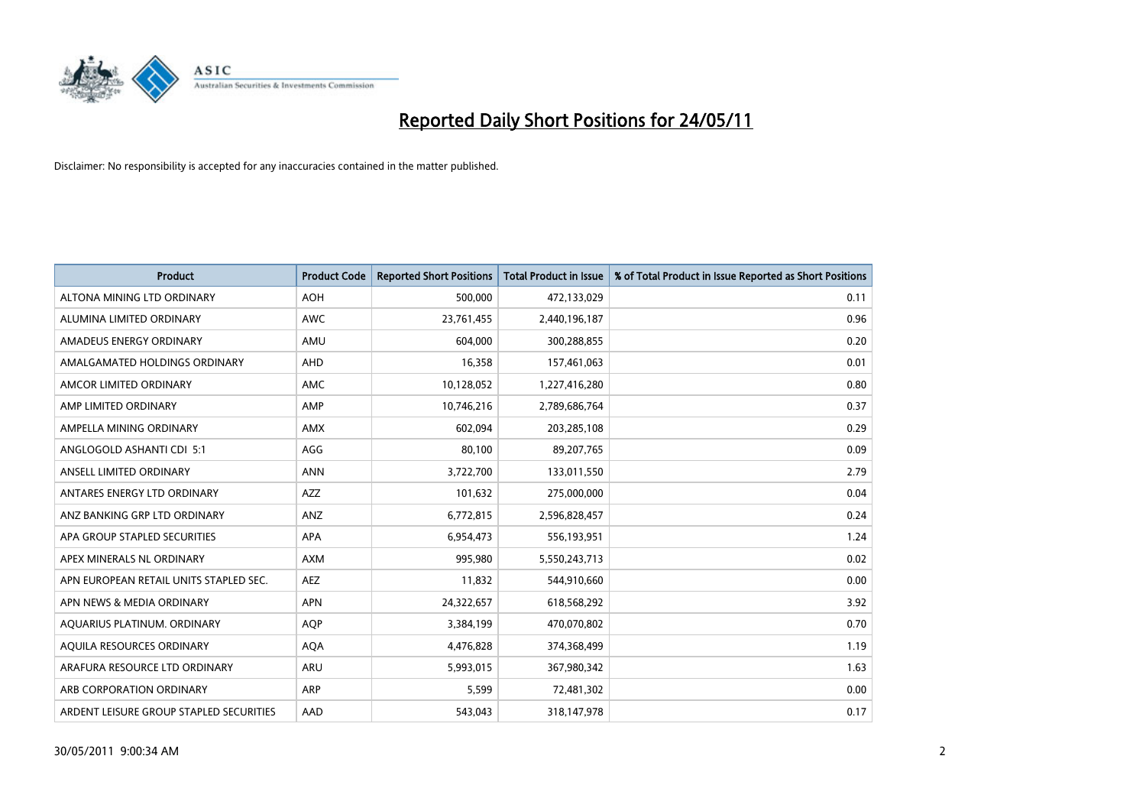

| <b>Product</b>                          | <b>Product Code</b> | <b>Reported Short Positions</b> | <b>Total Product in Issue</b> | % of Total Product in Issue Reported as Short Positions |
|-----------------------------------------|---------------------|---------------------------------|-------------------------------|---------------------------------------------------------|
| ALTONA MINING LTD ORDINARY              | <b>AOH</b>          | 500,000                         | 472,133,029                   | 0.11                                                    |
| ALUMINA LIMITED ORDINARY                | <b>AWC</b>          | 23,761,455                      | 2,440,196,187                 | 0.96                                                    |
| AMADEUS ENERGY ORDINARY                 | AMU                 | 604,000                         | 300,288,855                   | 0.20                                                    |
| AMALGAMATED HOLDINGS ORDINARY           | AHD                 | 16,358                          | 157,461,063                   | 0.01                                                    |
| AMCOR LIMITED ORDINARY                  | <b>AMC</b>          | 10,128,052                      | 1,227,416,280                 | 0.80                                                    |
| AMP LIMITED ORDINARY                    | AMP                 | 10,746,216                      | 2,789,686,764                 | 0.37                                                    |
| AMPELLA MINING ORDINARY                 | <b>AMX</b>          | 602.094                         | 203,285,108                   | 0.29                                                    |
| ANGLOGOLD ASHANTI CDI 5:1               | AGG                 | 80,100                          | 89,207,765                    | 0.09                                                    |
| ANSELL LIMITED ORDINARY                 | <b>ANN</b>          | 3,722,700                       | 133,011,550                   | 2.79                                                    |
| ANTARES ENERGY LTD ORDINARY             | AZZ                 | 101,632                         | 275,000,000                   | 0.04                                                    |
| ANZ BANKING GRP LTD ORDINARY            | ANZ                 | 6,772,815                       | 2,596,828,457                 | 0.24                                                    |
| APA GROUP STAPLED SECURITIES            | APA                 | 6,954,473                       | 556,193,951                   | 1.24                                                    |
| APEX MINERALS NL ORDINARY               | <b>AXM</b>          | 995,980                         | 5,550,243,713                 | 0.02                                                    |
| APN EUROPEAN RETAIL UNITS STAPLED SEC.  | <b>AEZ</b>          | 11,832                          | 544,910,660                   | 0.00                                                    |
| APN NEWS & MEDIA ORDINARY               | <b>APN</b>          | 24,322,657                      | 618,568,292                   | 3.92                                                    |
| AQUARIUS PLATINUM. ORDINARY             | <b>AOP</b>          | 3,384,199                       | 470,070,802                   | 0.70                                                    |
| AQUILA RESOURCES ORDINARY               | <b>AQA</b>          | 4,476,828                       | 374,368,499                   | 1.19                                                    |
| ARAFURA RESOURCE LTD ORDINARY           | <b>ARU</b>          | 5,993,015                       | 367,980,342                   | 1.63                                                    |
| ARB CORPORATION ORDINARY                | <b>ARP</b>          | 5,599                           | 72,481,302                    | 0.00                                                    |
| ARDENT LEISURE GROUP STAPLED SECURITIES | AAD                 | 543.043                         | 318,147,978                   | 0.17                                                    |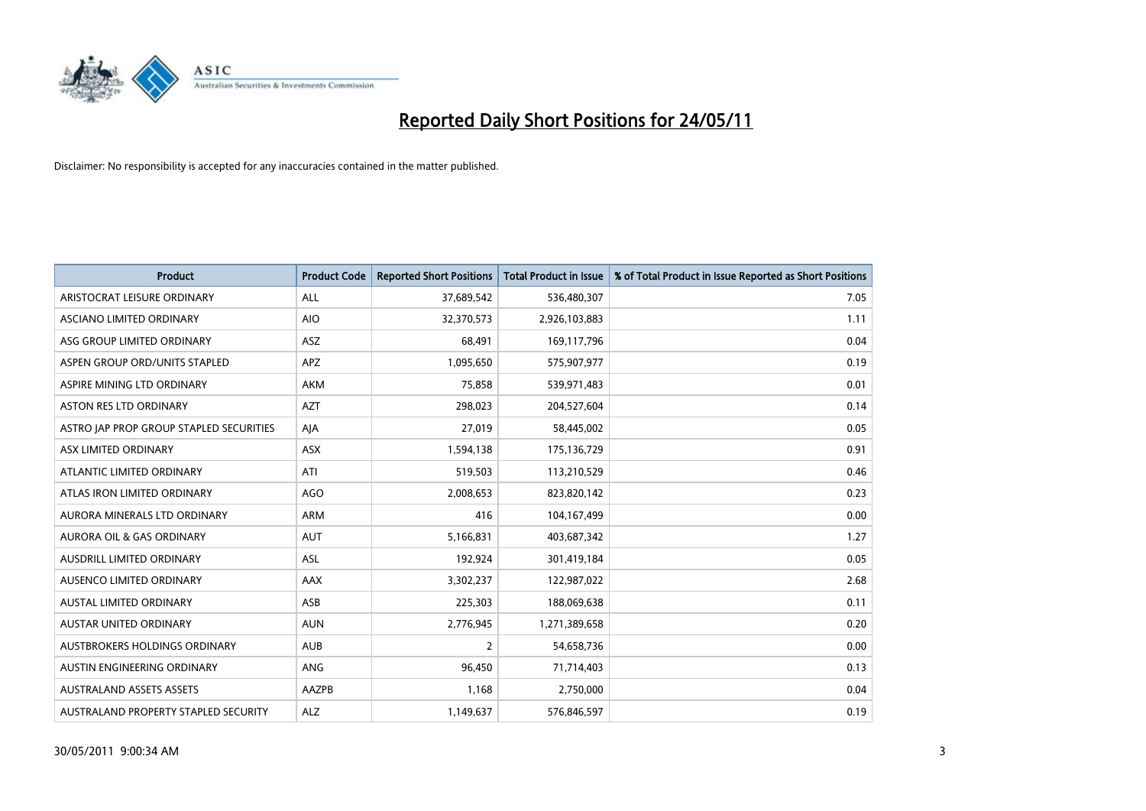

| <b>Product</b>                          | <b>Product Code</b> | <b>Reported Short Positions</b> | Total Product in Issue | % of Total Product in Issue Reported as Short Positions |
|-----------------------------------------|---------------------|---------------------------------|------------------------|---------------------------------------------------------|
| ARISTOCRAT LEISURE ORDINARY             | ALL                 | 37,689,542                      | 536,480,307            | 7.05                                                    |
| ASCIANO LIMITED ORDINARY                | <b>AIO</b>          | 32,370,573                      | 2,926,103,883          | 1.11                                                    |
| ASG GROUP LIMITED ORDINARY              | <b>ASZ</b>          | 68,491                          | 169,117,796            | 0.04                                                    |
| ASPEN GROUP ORD/UNITS STAPLED           | APZ                 | 1,095,650                       | 575,907,977            | 0.19                                                    |
| ASPIRE MINING LTD ORDINARY              | <b>AKM</b>          | 75,858                          | 539,971,483            | 0.01                                                    |
| <b>ASTON RES LTD ORDINARY</b>           | <b>AZT</b>          | 298,023                         | 204,527,604            | 0.14                                                    |
| ASTRO JAP PROP GROUP STAPLED SECURITIES | AJA                 | 27,019                          | 58,445,002             | 0.05                                                    |
| ASX LIMITED ORDINARY                    | ASX                 | 1,594,138                       | 175,136,729            | 0.91                                                    |
| ATLANTIC LIMITED ORDINARY               | ATI                 | 519,503                         | 113,210,529            | 0.46                                                    |
| ATLAS IRON LIMITED ORDINARY             | <b>AGO</b>          | 2,008,653                       | 823,820,142            | 0.23                                                    |
| AURORA MINERALS LTD ORDINARY            | <b>ARM</b>          | 416                             | 104,167,499            | 0.00                                                    |
| AURORA OIL & GAS ORDINARY               | <b>AUT</b>          | 5,166,831                       | 403,687,342            | 1.27                                                    |
| AUSDRILL LIMITED ORDINARY               | ASL                 | 192,924                         | 301,419,184            | 0.05                                                    |
| AUSENCO LIMITED ORDINARY                | <b>AAX</b>          | 3,302,237                       | 122,987,022            | 2.68                                                    |
| <b>AUSTAL LIMITED ORDINARY</b>          | ASB                 | 225,303                         | 188,069,638            | 0.11                                                    |
| <b>AUSTAR UNITED ORDINARY</b>           | <b>AUN</b>          | 2,776,945                       | 1,271,389,658          | 0.20                                                    |
| AUSTBROKERS HOLDINGS ORDINARY           | <b>AUB</b>          | 2                               | 54,658,736             | 0.00                                                    |
| AUSTIN ENGINEERING ORDINARY             | ANG                 | 96,450                          | 71,714,403             | 0.13                                                    |
| <b>AUSTRALAND ASSETS ASSETS</b>         | AAZPB               | 1,168                           | 2,750,000              | 0.04                                                    |
| AUSTRALAND PROPERTY STAPLED SECURITY    | <b>ALZ</b>          | 1,149,637                       | 576,846,597            | 0.19                                                    |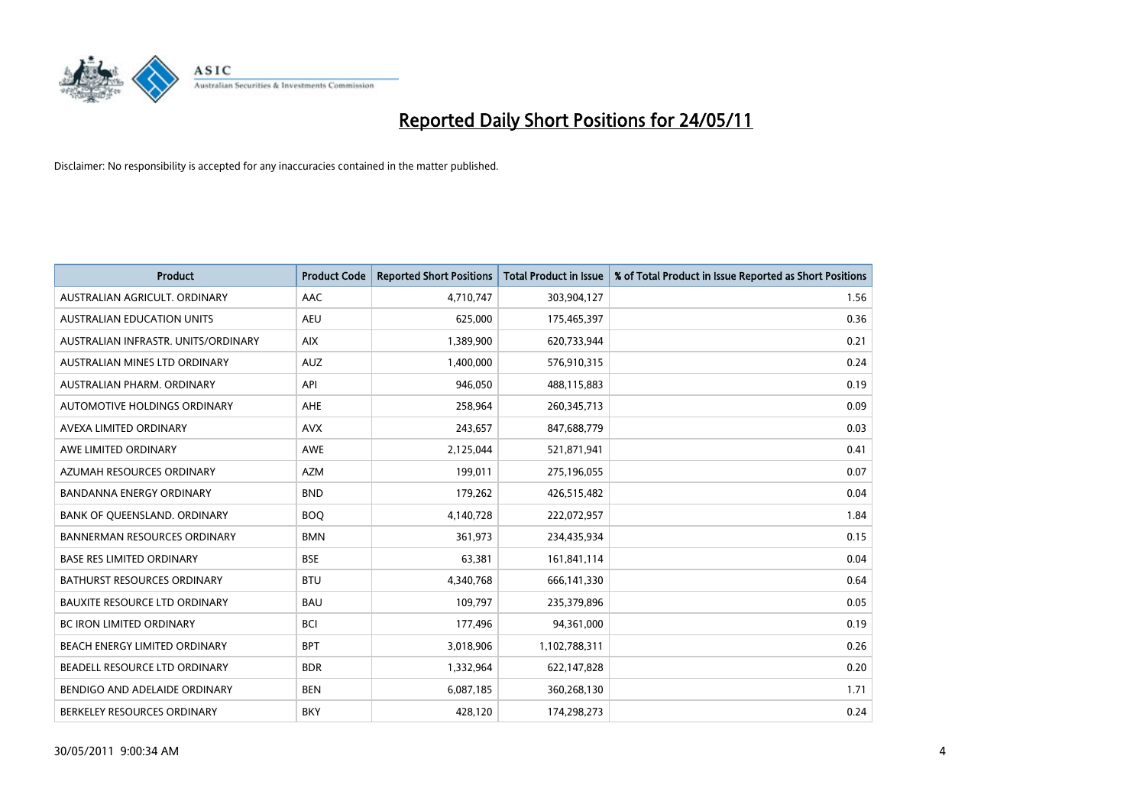

| <b>Product</b>                       | <b>Product Code</b> | <b>Reported Short Positions</b> | <b>Total Product in Issue</b> | % of Total Product in Issue Reported as Short Positions |
|--------------------------------------|---------------------|---------------------------------|-------------------------------|---------------------------------------------------------|
| AUSTRALIAN AGRICULT, ORDINARY        | AAC                 | 4,710,747                       | 303,904,127                   | 1.56                                                    |
| AUSTRALIAN EDUCATION UNITS           | <b>AEU</b>          | 625,000                         | 175,465,397                   | 0.36                                                    |
| AUSTRALIAN INFRASTR, UNITS/ORDINARY  | <b>AIX</b>          | 1,389,900                       | 620,733,944                   | 0.21                                                    |
| AUSTRALIAN MINES LTD ORDINARY        | <b>AUZ</b>          | 1,400,000                       | 576,910,315                   | 0.24                                                    |
| AUSTRALIAN PHARM, ORDINARY           | API                 | 946,050                         | 488,115,883                   | 0.19                                                    |
| AUTOMOTIVE HOLDINGS ORDINARY         | AHE                 | 258,964                         | 260,345,713                   | 0.09                                                    |
| AVEXA LIMITED ORDINARY               | <b>AVX</b>          | 243,657                         | 847,688,779                   | 0.03                                                    |
| AWE LIMITED ORDINARY                 | AWE                 | 2,125,044                       | 521,871,941                   | 0.41                                                    |
| AZUMAH RESOURCES ORDINARY            | <b>AZM</b>          | 199,011                         | 275,196,055                   | 0.07                                                    |
| <b>BANDANNA ENERGY ORDINARY</b>      | <b>BND</b>          | 179,262                         | 426,515,482                   | 0.04                                                    |
| BANK OF QUEENSLAND. ORDINARY         | <b>BOO</b>          | 4,140,728                       | 222,072,957                   | 1.84                                                    |
| <b>BANNERMAN RESOURCES ORDINARY</b>  | <b>BMN</b>          | 361,973                         | 234,435,934                   | 0.15                                                    |
| <b>BASE RES LIMITED ORDINARY</b>     | <b>BSE</b>          | 63,381                          | 161,841,114                   | 0.04                                                    |
| BATHURST RESOURCES ORDINARY          | <b>BTU</b>          | 4,340,768                       | 666,141,330                   | 0.64                                                    |
| <b>BAUXITE RESOURCE LTD ORDINARY</b> | <b>BAU</b>          | 109,797                         | 235,379,896                   | 0.05                                                    |
| <b>BC IRON LIMITED ORDINARY</b>      | <b>BCI</b>          | 177,496                         | 94,361,000                    | 0.19                                                    |
| BEACH ENERGY LIMITED ORDINARY        | <b>BPT</b>          | 3,018,906                       | 1,102,788,311                 | 0.26                                                    |
| BEADELL RESOURCE LTD ORDINARY        | <b>BDR</b>          | 1,332,964                       | 622,147,828                   | 0.20                                                    |
| BENDIGO AND ADELAIDE ORDINARY        | <b>BEN</b>          | 6,087,185                       | 360,268,130                   | 1.71                                                    |
| BERKELEY RESOURCES ORDINARY          | <b>BKY</b>          | 428,120                         | 174,298,273                   | 0.24                                                    |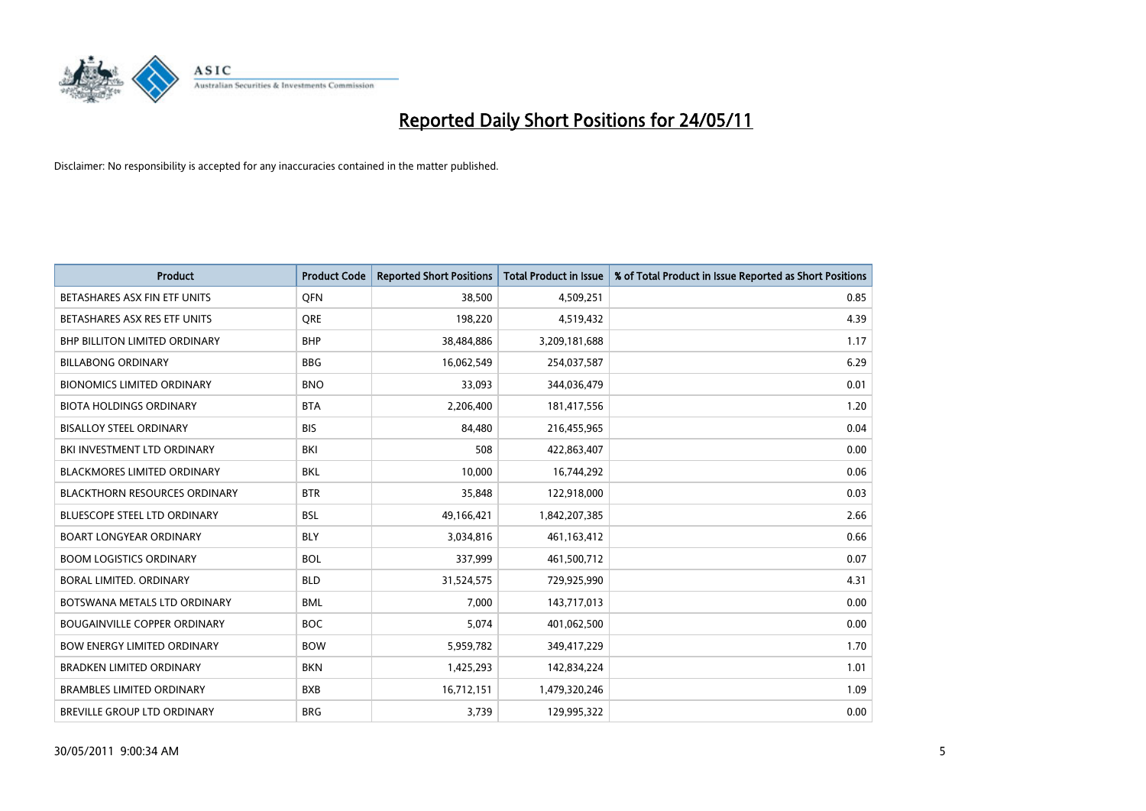

| <b>Product</b>                       | <b>Product Code</b> | <b>Reported Short Positions</b> | <b>Total Product in Issue</b> | % of Total Product in Issue Reported as Short Positions |
|--------------------------------------|---------------------|---------------------------------|-------------------------------|---------------------------------------------------------|
| BETASHARES ASX FIN ETF UNITS         | <b>OFN</b>          | 38,500                          | 4,509,251                     | 0.85                                                    |
| BETASHARES ASX RES ETF UNITS         | <b>ORE</b>          | 198,220                         | 4,519,432                     | 4.39                                                    |
| <b>BHP BILLITON LIMITED ORDINARY</b> | <b>BHP</b>          | 38,484,886                      | 3,209,181,688                 | 1.17                                                    |
| <b>BILLABONG ORDINARY</b>            | <b>BBG</b>          | 16,062,549                      | 254,037,587                   | 6.29                                                    |
| <b>BIONOMICS LIMITED ORDINARY</b>    | <b>BNO</b>          | 33,093                          | 344,036,479                   | 0.01                                                    |
| <b>BIOTA HOLDINGS ORDINARY</b>       | <b>BTA</b>          | 2,206,400                       | 181,417,556                   | 1.20                                                    |
| <b>BISALLOY STEEL ORDINARY</b>       | <b>BIS</b>          | 84.480                          | 216,455,965                   | 0.04                                                    |
| BKI INVESTMENT LTD ORDINARY          | <b>BKI</b>          | 508                             | 422,863,407                   | 0.00                                                    |
| <b>BLACKMORES LIMITED ORDINARY</b>   | <b>BKL</b>          | 10,000                          | 16,744,292                    | 0.06                                                    |
| <b>BLACKTHORN RESOURCES ORDINARY</b> | <b>BTR</b>          | 35,848                          | 122,918,000                   | 0.03                                                    |
| <b>BLUESCOPE STEEL LTD ORDINARY</b>  | <b>BSL</b>          | 49,166,421                      | 1,842,207,385                 | 2.66                                                    |
| <b>BOART LONGYEAR ORDINARY</b>       | <b>BLY</b>          | 3,034,816                       | 461,163,412                   | 0.66                                                    |
| <b>BOOM LOGISTICS ORDINARY</b>       | <b>BOL</b>          | 337,999                         | 461,500,712                   | 0.07                                                    |
| <b>BORAL LIMITED, ORDINARY</b>       | <b>BLD</b>          | 31,524,575                      | 729,925,990                   | 4.31                                                    |
| BOTSWANA METALS LTD ORDINARY         | <b>BML</b>          | 7,000                           | 143,717,013                   | 0.00                                                    |
| <b>BOUGAINVILLE COPPER ORDINARY</b>  | <b>BOC</b>          | 5,074                           | 401,062,500                   | 0.00                                                    |
| <b>BOW ENERGY LIMITED ORDINARY</b>   | <b>BOW</b>          | 5,959,782                       | 349,417,229                   | 1.70                                                    |
| <b>BRADKEN LIMITED ORDINARY</b>      | <b>BKN</b>          | 1,425,293                       | 142,834,224                   | 1.01                                                    |
| <b>BRAMBLES LIMITED ORDINARY</b>     | <b>BXB</b>          | 16,712,151                      | 1,479,320,246                 | 1.09                                                    |
| <b>BREVILLE GROUP LTD ORDINARY</b>   | <b>BRG</b>          | 3,739                           | 129,995,322                   | 0.00                                                    |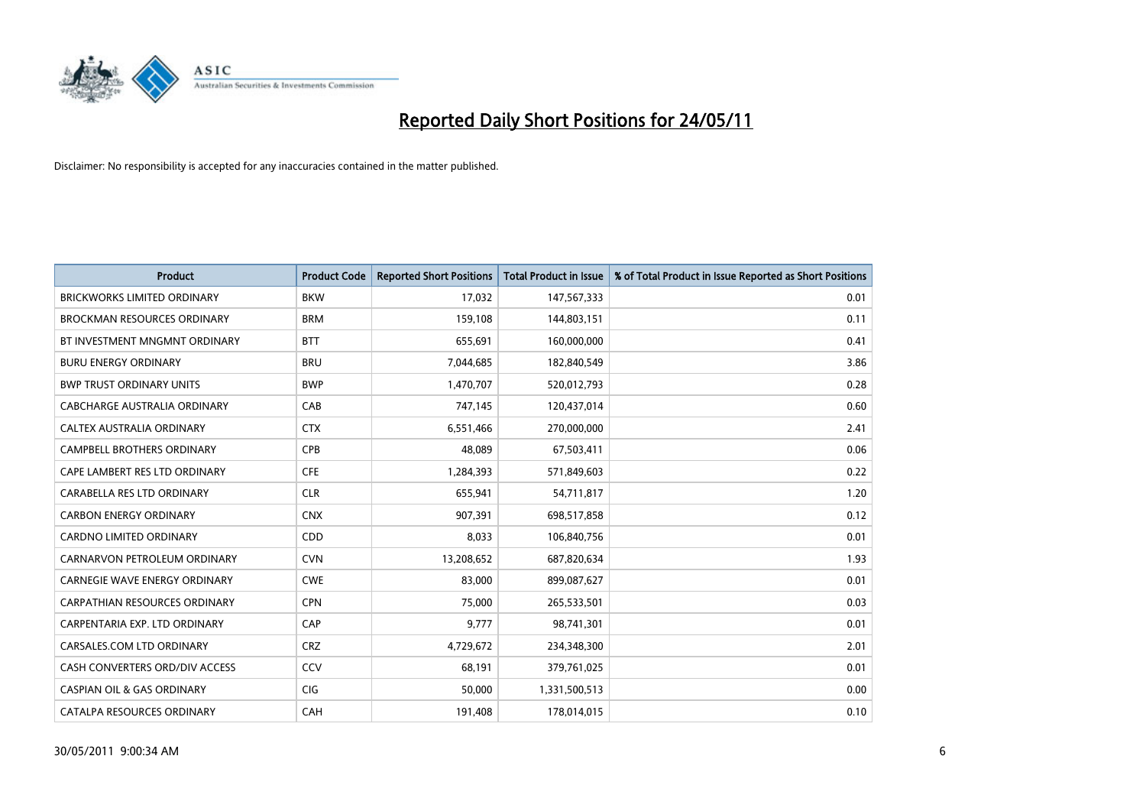

| <b>Product</b>                        | <b>Product Code</b> | <b>Reported Short Positions</b> | <b>Total Product in Issue</b> | % of Total Product in Issue Reported as Short Positions |
|---------------------------------------|---------------------|---------------------------------|-------------------------------|---------------------------------------------------------|
| <b>BRICKWORKS LIMITED ORDINARY</b>    | <b>BKW</b>          | 17,032                          | 147,567,333                   | 0.01                                                    |
| <b>BROCKMAN RESOURCES ORDINARY</b>    | <b>BRM</b>          | 159,108                         | 144,803,151                   | 0.11                                                    |
| BT INVESTMENT MNGMNT ORDINARY         | <b>BTT</b>          | 655,691                         | 160,000,000                   | 0.41                                                    |
| <b>BURU ENERGY ORDINARY</b>           | <b>BRU</b>          | 7,044,685                       | 182,840,549                   | 3.86                                                    |
| <b>BWP TRUST ORDINARY UNITS</b>       | <b>BWP</b>          | 1,470,707                       | 520,012,793                   | 0.28                                                    |
| CABCHARGE AUSTRALIA ORDINARY          | CAB                 | 747,145                         | 120,437,014                   | 0.60                                                    |
| CALTEX AUSTRALIA ORDINARY             | <b>CTX</b>          | 6,551,466                       | 270,000,000                   | 2.41                                                    |
| CAMPBELL BROTHERS ORDINARY            | <b>CPB</b>          | 48,089                          | 67,503,411                    | 0.06                                                    |
| CAPE LAMBERT RES LTD ORDINARY         | <b>CFE</b>          | 1,284,393                       | 571,849,603                   | 0.22                                                    |
| CARABELLA RES LTD ORDINARY            | <b>CLR</b>          | 655,941                         | 54,711,817                    | 1.20                                                    |
| <b>CARBON ENERGY ORDINARY</b>         | <b>CNX</b>          | 907,391                         | 698,517,858                   | 0.12                                                    |
| CARDNO LIMITED ORDINARY               | CDD                 | 8,033                           | 106,840,756                   | 0.01                                                    |
| CARNARVON PETROLEUM ORDINARY          | <b>CVN</b>          | 13,208,652                      | 687,820,634                   | 1.93                                                    |
| <b>CARNEGIE WAVE ENERGY ORDINARY</b>  | <b>CWE</b>          | 83.000                          | 899,087,627                   | 0.01                                                    |
| <b>CARPATHIAN RESOURCES ORDINARY</b>  | <b>CPN</b>          | 75,000                          | 265,533,501                   | 0.03                                                    |
| CARPENTARIA EXP. LTD ORDINARY         | CAP                 | 9.777                           | 98,741,301                    | 0.01                                                    |
| CARSALES.COM LTD ORDINARY             | <b>CRZ</b>          | 4,729,672                       | 234,348,300                   | 2.01                                                    |
| CASH CONVERTERS ORD/DIV ACCESS        | CCV                 | 68,191                          | 379,761,025                   | 0.01                                                    |
| <b>CASPIAN OIL &amp; GAS ORDINARY</b> | CIG                 | 50,000                          | 1,331,500,513                 | 0.00                                                    |
| CATALPA RESOURCES ORDINARY            | CAH                 | 191,408                         | 178,014,015                   | 0.10                                                    |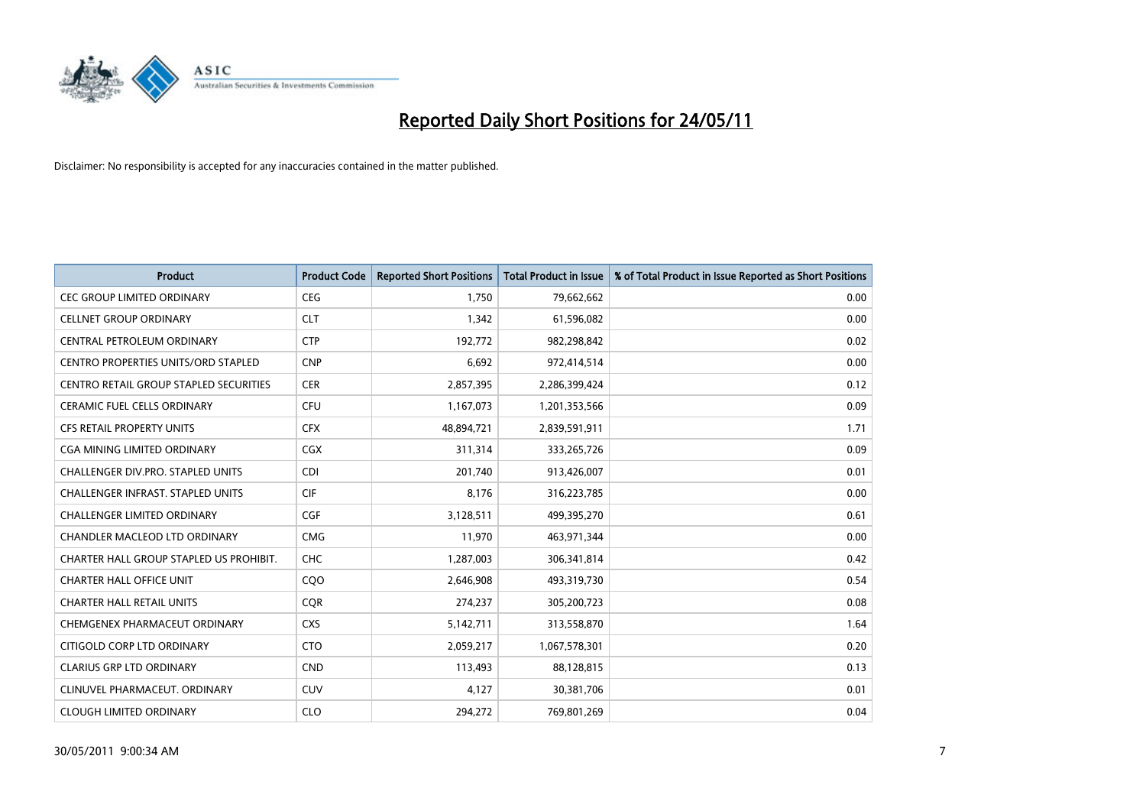

| <b>Product</b>                                | <b>Product Code</b> | <b>Reported Short Positions</b> | Total Product in Issue | % of Total Product in Issue Reported as Short Positions |
|-----------------------------------------------|---------------------|---------------------------------|------------------------|---------------------------------------------------------|
| <b>CEC GROUP LIMITED ORDINARY</b>             | <b>CEG</b>          | 1,750                           | 79,662,662             | 0.00                                                    |
| <b>CELLNET GROUP ORDINARY</b>                 | <b>CLT</b>          | 1,342                           | 61,596,082             | 0.00                                                    |
| CENTRAL PETROLEUM ORDINARY                    | <b>CTP</b>          | 192,772                         | 982,298,842            | 0.02                                                    |
| CENTRO PROPERTIES UNITS/ORD STAPLED           | <b>CNP</b>          | 6,692                           | 972,414,514            | 0.00                                                    |
| <b>CENTRO RETAIL GROUP STAPLED SECURITIES</b> | <b>CER</b>          | 2,857,395                       | 2,286,399,424          | 0.12                                                    |
| <b>CERAMIC FUEL CELLS ORDINARY</b>            | <b>CFU</b>          | 1,167,073                       | 1,201,353,566          | 0.09                                                    |
| <b>CFS RETAIL PROPERTY UNITS</b>              | <b>CFX</b>          | 48,894,721                      | 2,839,591,911          | 1.71                                                    |
| CGA MINING LIMITED ORDINARY                   | <b>CGX</b>          | 311,314                         | 333,265,726            | 0.09                                                    |
| <b>CHALLENGER DIV.PRO. STAPLED UNITS</b>      | <b>CDI</b>          | 201.740                         | 913,426,007            | 0.01                                                    |
| CHALLENGER INFRAST. STAPLED UNITS             | <b>CIF</b>          | 8,176                           | 316,223,785            | 0.00                                                    |
| CHALLENGER LIMITED ORDINARY                   | <b>CGF</b>          | 3,128,511                       | 499,395,270            | 0.61                                                    |
| CHANDLER MACLEOD LTD ORDINARY                 | <b>CMG</b>          | 11,970                          | 463,971,344            | 0.00                                                    |
| CHARTER HALL GROUP STAPLED US PROHIBIT.       | <b>CHC</b>          | 1,287,003                       | 306,341,814            | 0.42                                                    |
| <b>CHARTER HALL OFFICE UNIT</b>               | COO                 | 2,646,908                       | 493,319,730            | 0.54                                                    |
| <b>CHARTER HALL RETAIL UNITS</b>              | CQR                 | 274,237                         | 305,200,723            | 0.08                                                    |
| CHEMGENEX PHARMACEUT ORDINARY                 | <b>CXS</b>          | 5,142,711                       | 313,558,870            | 1.64                                                    |
| CITIGOLD CORP LTD ORDINARY                    | <b>CTO</b>          | 2,059,217                       | 1,067,578,301          | 0.20                                                    |
| <b>CLARIUS GRP LTD ORDINARY</b>               | <b>CND</b>          | 113,493                         | 88,128,815             | 0.13                                                    |
| CLINUVEL PHARMACEUT, ORDINARY                 | <b>CUV</b>          | 4,127                           | 30,381,706             | 0.01                                                    |
| <b>CLOUGH LIMITED ORDINARY</b>                | <b>CLO</b>          | 294,272                         | 769,801,269            | 0.04                                                    |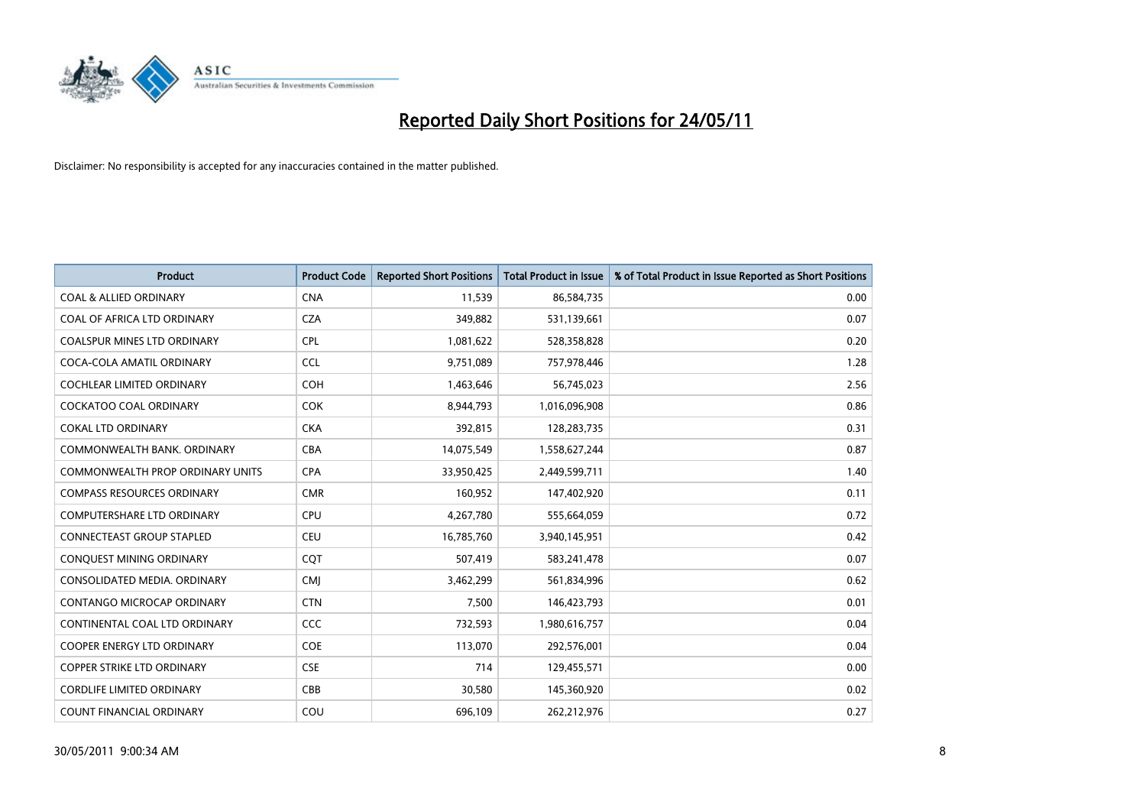

| <b>Product</b>                          | <b>Product Code</b> | <b>Reported Short Positions</b> | <b>Total Product in Issue</b> | % of Total Product in Issue Reported as Short Positions |
|-----------------------------------------|---------------------|---------------------------------|-------------------------------|---------------------------------------------------------|
| <b>COAL &amp; ALLIED ORDINARY</b>       | <b>CNA</b>          | 11,539                          | 86,584,735                    | 0.00                                                    |
| COAL OF AFRICA LTD ORDINARY             | <b>CZA</b>          | 349,882                         | 531,139,661                   | 0.07                                                    |
| <b>COALSPUR MINES LTD ORDINARY</b>      | <b>CPL</b>          | 1,081,622                       | 528,358,828                   | 0.20                                                    |
| COCA-COLA AMATIL ORDINARY               | <b>CCL</b>          | 9,751,089                       | 757,978,446                   | 1.28                                                    |
| <b>COCHLEAR LIMITED ORDINARY</b>        | <b>COH</b>          | 1,463,646                       | 56,745,023                    | 2.56                                                    |
| <b>COCKATOO COAL ORDINARY</b>           | <b>COK</b>          | 8,944,793                       | 1,016,096,908                 | 0.86                                                    |
| <b>COKAL LTD ORDINARY</b>               | <b>CKA</b>          | 392,815                         | 128,283,735                   | 0.31                                                    |
| COMMONWEALTH BANK, ORDINARY             | <b>CBA</b>          | 14,075,549                      | 1,558,627,244                 | 0.87                                                    |
| <b>COMMONWEALTH PROP ORDINARY UNITS</b> | <b>CPA</b>          | 33,950,425                      | 2,449,599,711                 | 1.40                                                    |
| <b>COMPASS RESOURCES ORDINARY</b>       | <b>CMR</b>          | 160,952                         | 147,402,920                   | 0.11                                                    |
| COMPUTERSHARE LTD ORDINARY              | <b>CPU</b>          | 4,267,780                       | 555,664,059                   | 0.72                                                    |
| <b>CONNECTEAST GROUP STAPLED</b>        | <b>CEU</b>          | 16,785,760                      | 3,940,145,951                 | 0.42                                                    |
| CONQUEST MINING ORDINARY                | COT                 | 507,419                         | 583,241,478                   | 0.07                                                    |
| CONSOLIDATED MEDIA, ORDINARY            | <b>CMI</b>          | 3,462,299                       | 561,834,996                   | 0.62                                                    |
| <b>CONTANGO MICROCAP ORDINARY</b>       | <b>CTN</b>          | 7,500                           | 146,423,793                   | 0.01                                                    |
| CONTINENTAL COAL LTD ORDINARY           | <b>CCC</b>          | 732,593                         | 1,980,616,757                 | 0.04                                                    |
| COOPER ENERGY LTD ORDINARY              | <b>COE</b>          | 113,070                         | 292,576,001                   | 0.04                                                    |
| <b>COPPER STRIKE LTD ORDINARY</b>       | <b>CSE</b>          | 714                             | 129,455,571                   | 0.00                                                    |
| <b>CORDLIFE LIMITED ORDINARY</b>        | CBB                 | 30,580                          | 145,360,920                   | 0.02                                                    |
| COUNT FINANCIAL ORDINARY                | COU                 | 696,109                         | 262,212,976                   | 0.27                                                    |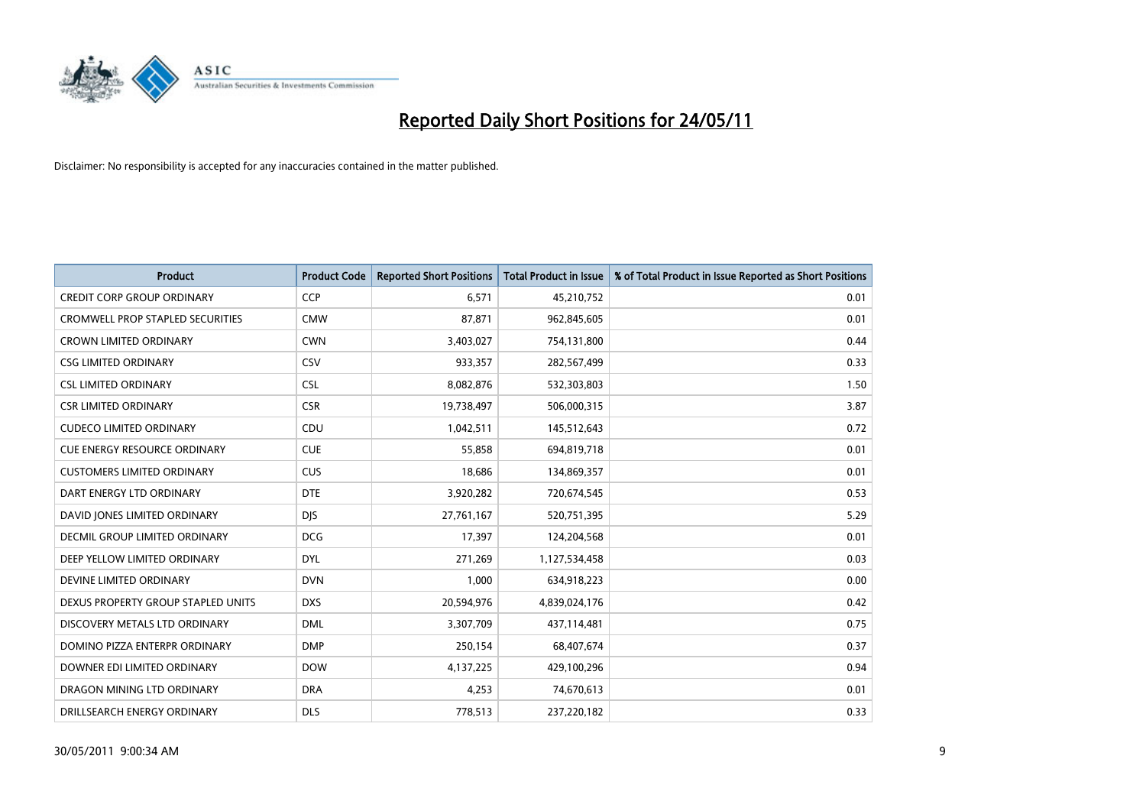

| <b>Product</b>                          | <b>Product Code</b> | <b>Reported Short Positions</b> | <b>Total Product in Issue</b> | % of Total Product in Issue Reported as Short Positions |
|-----------------------------------------|---------------------|---------------------------------|-------------------------------|---------------------------------------------------------|
| <b>CREDIT CORP GROUP ORDINARY</b>       | <b>CCP</b>          | 6,571                           | 45,210,752                    | 0.01                                                    |
| <b>CROMWELL PROP STAPLED SECURITIES</b> | <b>CMW</b>          | 87,871                          | 962,845,605                   | 0.01                                                    |
| <b>CROWN LIMITED ORDINARY</b>           | <b>CWN</b>          | 3,403,027                       | 754,131,800                   | 0.44                                                    |
| <b>CSG LIMITED ORDINARY</b>             | CSV                 | 933,357                         | 282,567,499                   | 0.33                                                    |
| <b>CSL LIMITED ORDINARY</b>             | <b>CSL</b>          | 8,082,876                       | 532,303,803                   | 1.50                                                    |
| <b>CSR LIMITED ORDINARY</b>             | <b>CSR</b>          | 19,738,497                      | 506,000,315                   | 3.87                                                    |
| <b>CUDECO LIMITED ORDINARY</b>          | CDU                 | 1,042,511                       | 145,512,643                   | 0.72                                                    |
| <b>CUE ENERGY RESOURCE ORDINARY</b>     | <b>CUE</b>          | 55,858                          | 694,819,718                   | 0.01                                                    |
| <b>CUSTOMERS LIMITED ORDINARY</b>       | CUS                 | 18,686                          | 134,869,357                   | 0.01                                                    |
| DART ENERGY LTD ORDINARY                | <b>DTE</b>          | 3,920,282                       | 720,674,545                   | 0.53                                                    |
| DAVID JONES LIMITED ORDINARY            | <b>DIS</b>          | 27,761,167                      | 520,751,395                   | 5.29                                                    |
| DECMIL GROUP LIMITED ORDINARY           | <b>DCG</b>          | 17,397                          | 124,204,568                   | 0.01                                                    |
| DEEP YELLOW LIMITED ORDINARY            | <b>DYL</b>          | 271,269                         | 1,127,534,458                 | 0.03                                                    |
| DEVINE LIMITED ORDINARY                 | <b>DVN</b>          | 1,000                           | 634,918,223                   | 0.00                                                    |
| DEXUS PROPERTY GROUP STAPLED UNITS      | <b>DXS</b>          | 20,594,976                      | 4,839,024,176                 | 0.42                                                    |
| DISCOVERY METALS LTD ORDINARY           | <b>DML</b>          | 3,307,709                       | 437,114,481                   | 0.75                                                    |
| DOMINO PIZZA ENTERPR ORDINARY           | <b>DMP</b>          | 250,154                         | 68,407,674                    | 0.37                                                    |
| DOWNER EDI LIMITED ORDINARY             | <b>DOW</b>          | 4,137,225                       | 429,100,296                   | 0.94                                                    |
| DRAGON MINING LTD ORDINARY              | <b>DRA</b>          | 4,253                           | 74,670,613                    | 0.01                                                    |
| DRILLSEARCH ENERGY ORDINARY             | <b>DLS</b>          | 778,513                         | 237,220,182                   | 0.33                                                    |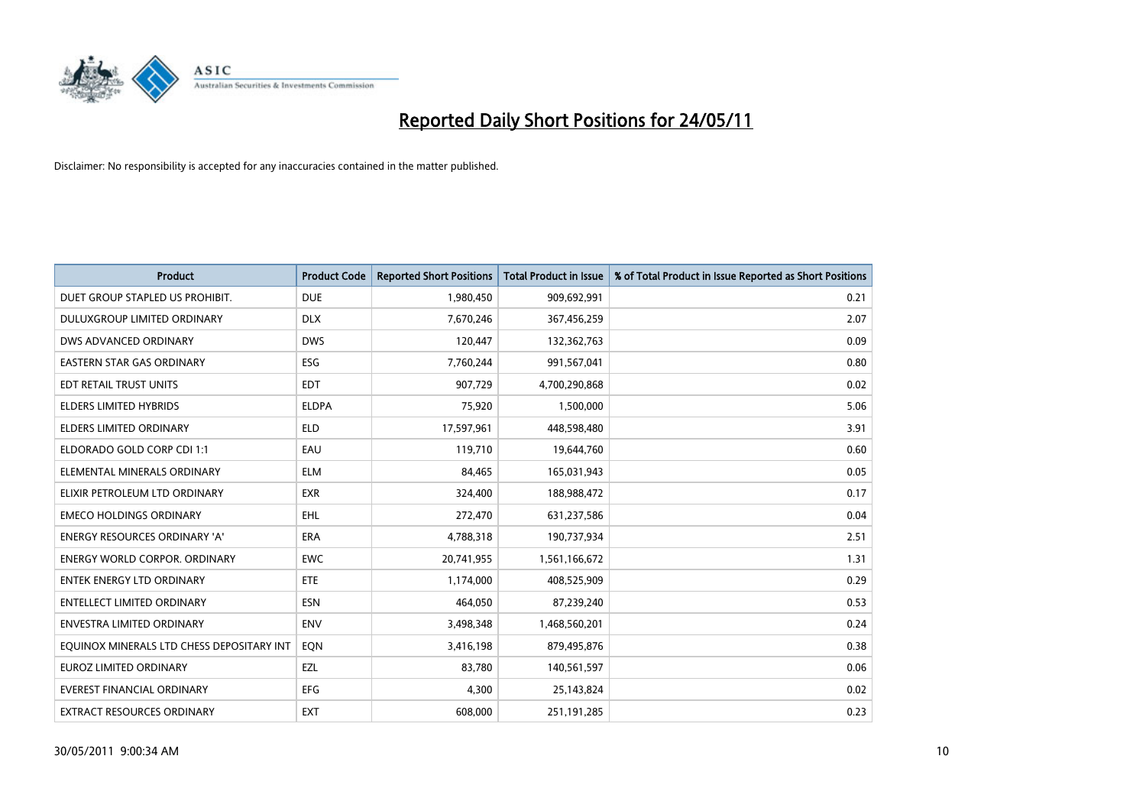

| <b>Product</b>                            | <b>Product Code</b> | <b>Reported Short Positions</b> | Total Product in Issue | % of Total Product in Issue Reported as Short Positions |
|-------------------------------------------|---------------------|---------------------------------|------------------------|---------------------------------------------------------|
| DUET GROUP STAPLED US PROHIBIT.           | <b>DUE</b>          | 1,980,450                       | 909,692,991            | 0.21                                                    |
| DULUXGROUP LIMITED ORDINARY               | <b>DLX</b>          | 7,670,246                       | 367,456,259            | 2.07                                                    |
| DWS ADVANCED ORDINARY                     | <b>DWS</b>          | 120,447                         | 132,362,763            | 0.09                                                    |
| EASTERN STAR GAS ORDINARY                 | ESG                 | 7,760,244                       | 991,567,041            | 0.80                                                    |
| EDT RETAIL TRUST UNITS                    | <b>EDT</b>          | 907.729                         | 4,700,290,868          | 0.02                                                    |
| <b>ELDERS LIMITED HYBRIDS</b>             | <b>ELDPA</b>        | 75,920                          | 1,500,000              | 5.06                                                    |
| <b>ELDERS LIMITED ORDINARY</b>            | <b>ELD</b>          | 17,597,961                      | 448,598,480            | 3.91                                                    |
| ELDORADO GOLD CORP CDI 1:1                | EAU                 | 119,710                         | 19,644,760             | 0.60                                                    |
| ELEMENTAL MINERALS ORDINARY               | <b>ELM</b>          | 84,465                          | 165,031,943            | 0.05                                                    |
| ELIXIR PETROLEUM LTD ORDINARY             | <b>EXR</b>          | 324,400                         | 188,988,472            | 0.17                                                    |
| <b>EMECO HOLDINGS ORDINARY</b>            | <b>EHL</b>          | 272,470                         | 631,237,586            | 0.04                                                    |
| <b>ENERGY RESOURCES ORDINARY 'A'</b>      | <b>ERA</b>          | 4,788,318                       | 190,737,934            | 2.51                                                    |
| <b>ENERGY WORLD CORPOR, ORDINARY</b>      | <b>EWC</b>          | 20,741,955                      | 1,561,166,672          | 1.31                                                    |
| <b>ENTEK ENERGY LTD ORDINARY</b>          | ETE                 | 1,174,000                       | 408,525,909            | 0.29                                                    |
| <b>ENTELLECT LIMITED ORDINARY</b>         | <b>ESN</b>          | 464,050                         | 87,239,240             | 0.53                                                    |
| <b>ENVESTRA LIMITED ORDINARY</b>          | <b>ENV</b>          | 3,498,348                       | 1,468,560,201          | 0.24                                                    |
| EQUINOX MINERALS LTD CHESS DEPOSITARY INT | EON                 | 3,416,198                       | 879,495,876            | 0.38                                                    |
| EUROZ LIMITED ORDINARY                    | EZL                 | 83,780                          | 140,561,597            | 0.06                                                    |
| <b>EVEREST FINANCIAL ORDINARY</b>         | <b>EFG</b>          | 4,300                           | 25,143,824             | 0.02                                                    |
| EXTRACT RESOURCES ORDINARY                | <b>EXT</b>          | 608.000                         | 251,191,285            | 0.23                                                    |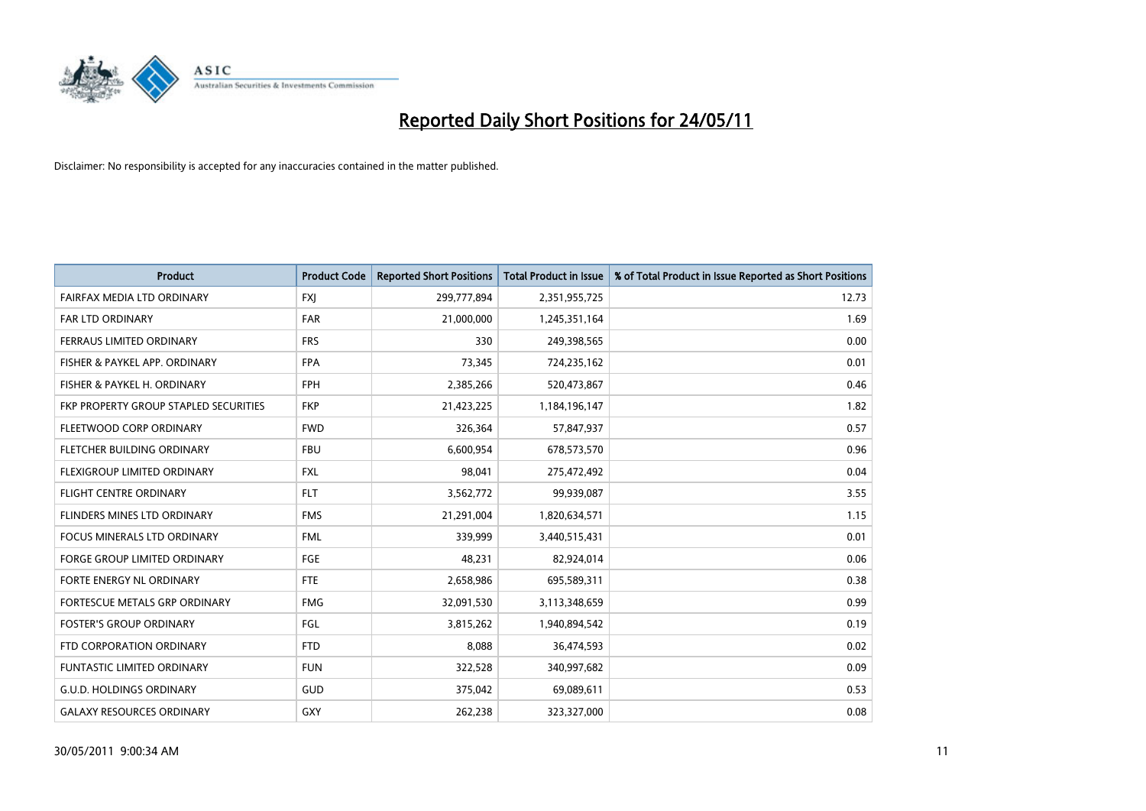

| <b>Product</b>                        | <b>Product Code</b> | <b>Reported Short Positions</b> | <b>Total Product in Issue</b> | % of Total Product in Issue Reported as Short Positions |
|---------------------------------------|---------------------|---------------------------------|-------------------------------|---------------------------------------------------------|
| FAIRFAX MEDIA LTD ORDINARY            | <b>FXJ</b>          | 299,777,894                     | 2,351,955,725                 | 12.73                                                   |
| FAR LTD ORDINARY                      | <b>FAR</b>          | 21,000,000                      | 1,245,351,164                 | 1.69                                                    |
| <b>FERRAUS LIMITED ORDINARY</b>       | <b>FRS</b>          | 330                             | 249,398,565                   | 0.00                                                    |
| FISHER & PAYKEL APP. ORDINARY         | <b>FPA</b>          | 73,345                          | 724,235,162                   | 0.01                                                    |
| FISHER & PAYKEL H. ORDINARY           | <b>FPH</b>          | 2,385,266                       | 520,473,867                   | 0.46                                                    |
| FKP PROPERTY GROUP STAPLED SECURITIES | <b>FKP</b>          | 21,423,225                      | 1,184,196,147                 | 1.82                                                    |
| FLEETWOOD CORP ORDINARY               | <b>FWD</b>          | 326,364                         | 57,847,937                    | 0.57                                                    |
| <b>FLETCHER BUILDING ORDINARY</b>     | <b>FBU</b>          | 6,600,954                       | 678,573,570                   | 0.96                                                    |
| FLEXIGROUP LIMITED ORDINARY           | <b>FXL</b>          | 98,041                          | 275,472,492                   | 0.04                                                    |
| <b>FLIGHT CENTRE ORDINARY</b>         | <b>FLT</b>          | 3,562,772                       | 99,939,087                    | 3.55                                                    |
| FLINDERS MINES LTD ORDINARY           | <b>FMS</b>          | 21,291,004                      | 1,820,634,571                 | 1.15                                                    |
| <b>FOCUS MINERALS LTD ORDINARY</b>    | <b>FML</b>          | 339,999                         | 3,440,515,431                 | 0.01                                                    |
| <b>FORGE GROUP LIMITED ORDINARY</b>   | <b>FGE</b>          | 48.231                          | 82,924,014                    | 0.06                                                    |
| FORTE ENERGY NL ORDINARY              | <b>FTE</b>          | 2,658,986                       | 695,589,311                   | 0.38                                                    |
| FORTESCUE METALS GRP ORDINARY         | <b>FMG</b>          | 32,091,530                      | 3,113,348,659                 | 0.99                                                    |
| <b>FOSTER'S GROUP ORDINARY</b>        | FGL                 | 3,815,262                       | 1,940,894,542                 | 0.19                                                    |
| FTD CORPORATION ORDINARY              | <b>FTD</b>          | 8,088                           | 36,474,593                    | 0.02                                                    |
| FUNTASTIC LIMITED ORDINARY            | <b>FUN</b>          | 322,528                         | 340,997,682                   | 0.09                                                    |
| <b>G.U.D. HOLDINGS ORDINARY</b>       | <b>GUD</b>          | 375,042                         | 69,089,611                    | 0.53                                                    |
| <b>GALAXY RESOURCES ORDINARY</b>      | GXY                 | 262,238                         | 323,327,000                   | 0.08                                                    |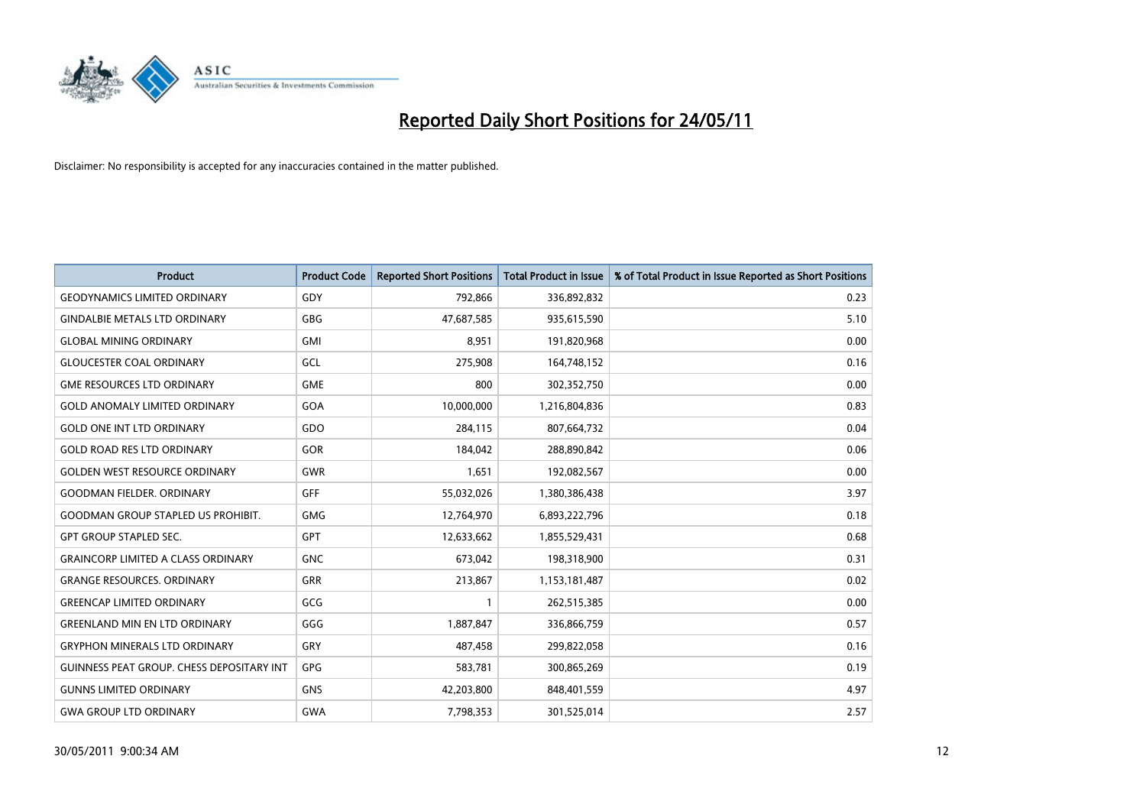

| <b>Product</b>                                   | <b>Product Code</b> | <b>Reported Short Positions</b> | <b>Total Product in Issue</b> | % of Total Product in Issue Reported as Short Positions |
|--------------------------------------------------|---------------------|---------------------------------|-------------------------------|---------------------------------------------------------|
| <b>GEODYNAMICS LIMITED ORDINARY</b>              | GDY                 | 792,866                         | 336,892,832                   | 0.23                                                    |
| <b>GINDALBIE METALS LTD ORDINARY</b>             | <b>GBG</b>          | 47,687,585                      | 935,615,590                   | 5.10                                                    |
| <b>GLOBAL MINING ORDINARY</b>                    | <b>GMI</b>          | 8,951                           | 191,820,968                   | 0.00                                                    |
| <b>GLOUCESTER COAL ORDINARY</b>                  | GCL                 | 275,908                         | 164,748,152                   | 0.16                                                    |
| <b>GME RESOURCES LTD ORDINARY</b>                | <b>GME</b>          | 800                             | 302,352,750                   | 0.00                                                    |
| <b>GOLD ANOMALY LIMITED ORDINARY</b>             | GOA                 | 10,000,000                      | 1,216,804,836                 | 0.83                                                    |
| <b>GOLD ONE INT LTD ORDINARY</b>                 | GDO                 | 284,115                         | 807,664,732                   | 0.04                                                    |
| <b>GOLD ROAD RES LTD ORDINARY</b>                | GOR                 | 184,042                         | 288,890,842                   | 0.06                                                    |
| <b>GOLDEN WEST RESOURCE ORDINARY</b>             | <b>GWR</b>          | 1,651                           | 192,082,567                   | 0.00                                                    |
| <b>GOODMAN FIELDER, ORDINARY</b>                 | <b>GFF</b>          | 55,032,026                      | 1,380,386,438                 | 3.97                                                    |
| <b>GOODMAN GROUP STAPLED US PROHIBIT.</b>        | <b>GMG</b>          | 12,764,970                      | 6,893,222,796                 | 0.18                                                    |
| <b>GPT GROUP STAPLED SEC.</b>                    | <b>GPT</b>          | 12,633,662                      | 1,855,529,431                 | 0.68                                                    |
| <b>GRAINCORP LIMITED A CLASS ORDINARY</b>        | <b>GNC</b>          | 673,042                         | 198,318,900                   | 0.31                                                    |
| <b>GRANGE RESOURCES, ORDINARY</b>                | <b>GRR</b>          | 213,867                         | 1,153,181,487                 | 0.02                                                    |
| <b>GREENCAP LIMITED ORDINARY</b>                 | GCG                 |                                 | 262,515,385                   | 0.00                                                    |
| <b>GREENLAND MIN EN LTD ORDINARY</b>             | GGG                 | 1,887,847                       | 336,866,759                   | 0.57                                                    |
| <b>GRYPHON MINERALS LTD ORDINARY</b>             | GRY                 | 487,458                         | 299,822,058                   | 0.16                                                    |
| <b>GUINNESS PEAT GROUP. CHESS DEPOSITARY INT</b> | <b>GPG</b>          | 583,781                         | 300,865,269                   | 0.19                                                    |
| <b>GUNNS LIMITED ORDINARY</b>                    | <b>GNS</b>          | 42,203,800                      | 848,401,559                   | 4.97                                                    |
| <b>GWA GROUP LTD ORDINARY</b>                    | <b>GWA</b>          | 7,798,353                       | 301,525,014                   | 2.57                                                    |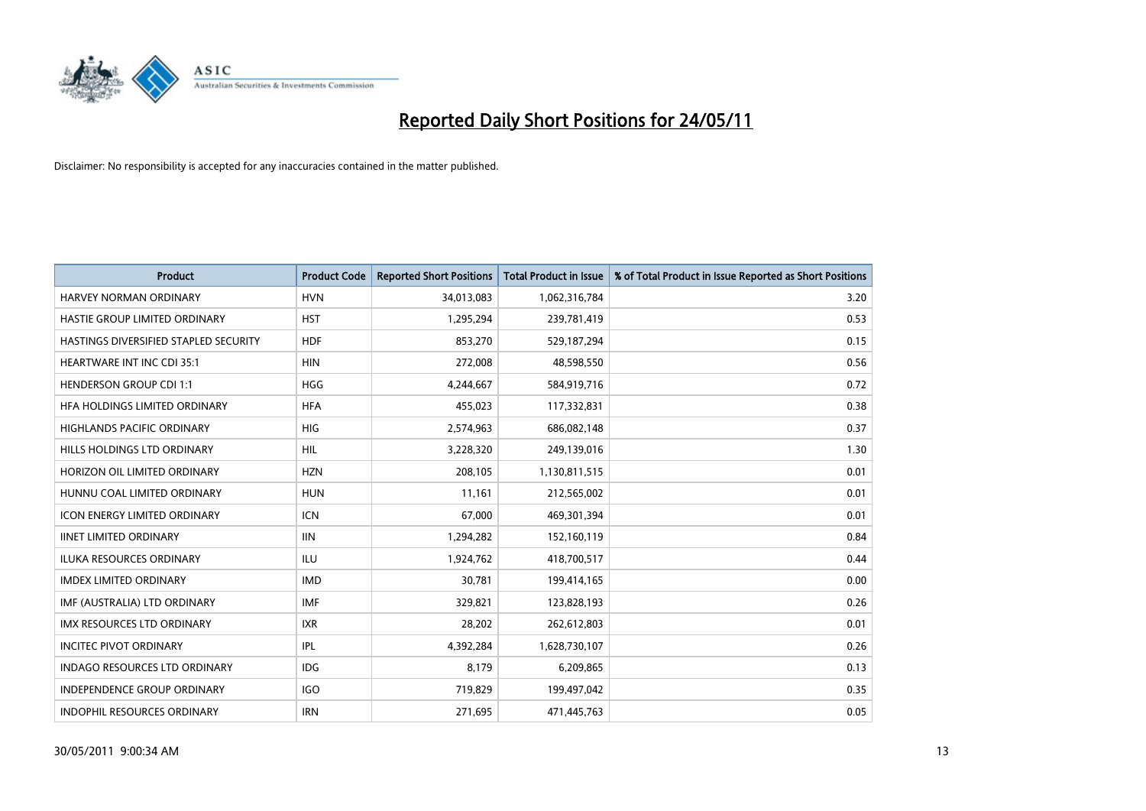

| <b>Product</b>                        | <b>Product Code</b> | <b>Reported Short Positions</b> | <b>Total Product in Issue</b> | % of Total Product in Issue Reported as Short Positions |
|---------------------------------------|---------------------|---------------------------------|-------------------------------|---------------------------------------------------------|
| <b>HARVEY NORMAN ORDINARY</b>         | <b>HVN</b>          | 34,013,083                      | 1,062,316,784                 | 3.20                                                    |
| HASTIE GROUP LIMITED ORDINARY         | <b>HST</b>          | 1,295,294                       | 239,781,419                   | 0.53                                                    |
| HASTINGS DIVERSIFIED STAPLED SECURITY | <b>HDF</b>          | 853,270                         | 529,187,294                   | 0.15                                                    |
| <b>HEARTWARE INT INC CDI 35:1</b>     | <b>HIN</b>          | 272,008                         | 48,598,550                    | 0.56                                                    |
| <b>HENDERSON GROUP CDI 1:1</b>        | <b>HGG</b>          | 4,244,667                       | 584,919,716                   | 0.72                                                    |
| HFA HOLDINGS LIMITED ORDINARY         | <b>HFA</b>          | 455,023                         | 117,332,831                   | 0.38                                                    |
| HIGHLANDS PACIFIC ORDINARY            | <b>HIG</b>          | 2,574,963                       | 686,082,148                   | 0.37                                                    |
| HILLS HOLDINGS LTD ORDINARY           | HIL                 | 3,228,320                       | 249,139,016                   | 1.30                                                    |
| HORIZON OIL LIMITED ORDINARY          | <b>HZN</b>          | 208,105                         | 1,130,811,515                 | 0.01                                                    |
| HUNNU COAL LIMITED ORDINARY           | <b>HUN</b>          | 11,161                          | 212,565,002                   | 0.01                                                    |
| <b>ICON ENERGY LIMITED ORDINARY</b>   | <b>ICN</b>          | 67,000                          | 469,301,394                   | 0.01                                                    |
| <b>IINET LIMITED ORDINARY</b>         | <b>IIN</b>          | 1,294,282                       | 152,160,119                   | 0.84                                                    |
| ILUKA RESOURCES ORDINARY              | <b>ILU</b>          | 1,924,762                       | 418,700,517                   | 0.44                                                    |
| <b>IMDEX LIMITED ORDINARY</b>         | <b>IMD</b>          | 30,781                          | 199,414,165                   | 0.00                                                    |
| IMF (AUSTRALIA) LTD ORDINARY          | IMF                 | 329,821                         | 123,828,193                   | 0.26                                                    |
| <b>IMX RESOURCES LTD ORDINARY</b>     | <b>IXR</b>          | 28,202                          | 262,612,803                   | 0.01                                                    |
| <b>INCITEC PIVOT ORDINARY</b>         | <b>IPL</b>          | 4,392,284                       | 1,628,730,107                 | 0.26                                                    |
| INDAGO RESOURCES LTD ORDINARY         | <b>IDG</b>          | 8,179                           | 6,209,865                     | 0.13                                                    |
| <b>INDEPENDENCE GROUP ORDINARY</b>    | <b>IGO</b>          | 719,829                         | 199,497,042                   | 0.35                                                    |
| INDOPHIL RESOURCES ORDINARY           | <b>IRN</b>          | 271,695                         | 471,445,763                   | 0.05                                                    |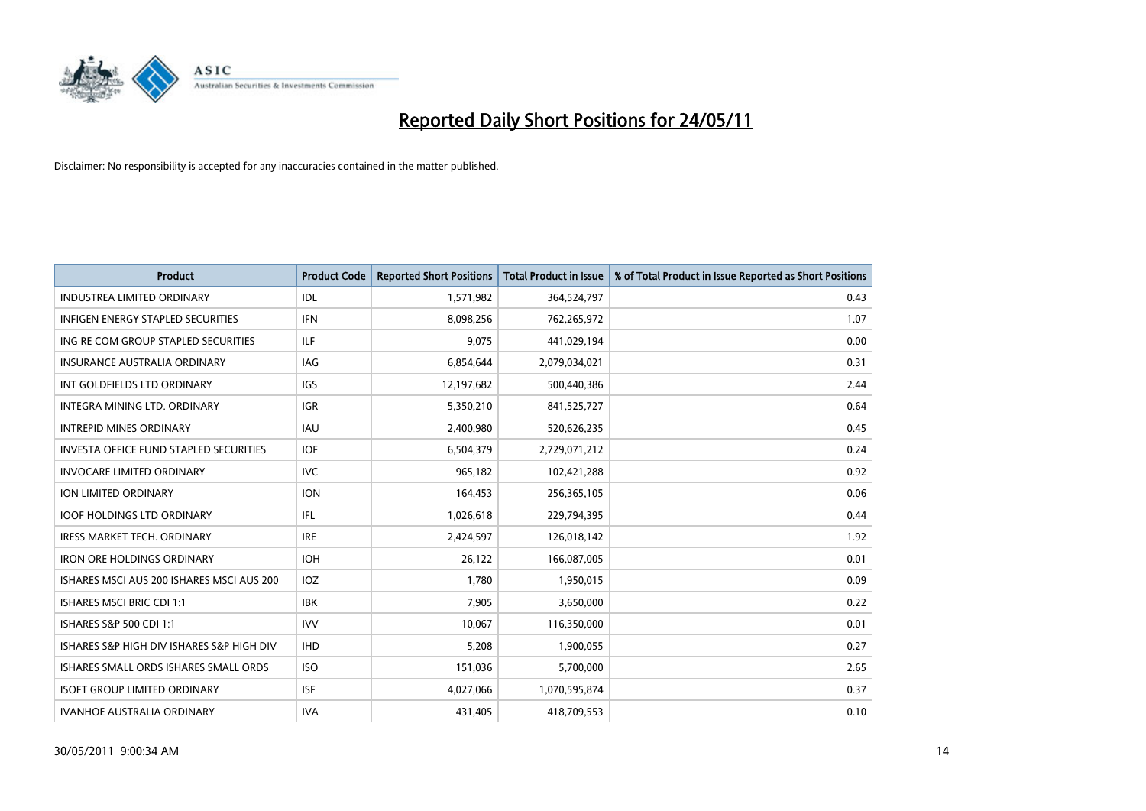

| <b>Product</b>                                | <b>Product Code</b> | <b>Reported Short Positions</b> | <b>Total Product in Issue</b> | % of Total Product in Issue Reported as Short Positions |
|-----------------------------------------------|---------------------|---------------------------------|-------------------------------|---------------------------------------------------------|
| <b>INDUSTREA LIMITED ORDINARY</b>             | IDL                 | 1,571,982                       | 364,524,797                   | 0.43                                                    |
| INFIGEN ENERGY STAPLED SECURITIES             | <b>IFN</b>          | 8,098,256                       | 762,265,972                   | 1.07                                                    |
| ING RE COM GROUP STAPLED SECURITIES           | <b>ILF</b>          | 9,075                           | 441,029,194                   | 0.00                                                    |
| INSURANCE AUSTRALIA ORDINARY                  | <b>IAG</b>          | 6,854,644                       | 2,079,034,021                 | 0.31                                                    |
| INT GOLDFIELDS LTD ORDINARY                   | <b>IGS</b>          | 12,197,682                      | 500,440,386                   | 2.44                                                    |
| INTEGRA MINING LTD, ORDINARY                  | <b>IGR</b>          | 5,350,210                       | 841,525,727                   | 0.64                                                    |
| <b>INTREPID MINES ORDINARY</b>                | <b>IAU</b>          | 2,400,980                       | 520,626,235                   | 0.45                                                    |
| <b>INVESTA OFFICE FUND STAPLED SECURITIES</b> | <b>IOF</b>          | 6,504,379                       | 2,729,071,212                 | 0.24                                                    |
| <b>INVOCARE LIMITED ORDINARY</b>              | <b>IVC</b>          | 965,182                         | 102,421,288                   | 0.92                                                    |
| ION LIMITED ORDINARY                          | <b>ION</b>          | 164,453                         | 256,365,105                   | 0.06                                                    |
| <b>IOOF HOLDINGS LTD ORDINARY</b>             | IFL                 | 1,026,618                       | 229,794,395                   | 0.44                                                    |
| <b>IRESS MARKET TECH. ORDINARY</b>            | <b>IRE</b>          | 2,424,597                       | 126,018,142                   | 1.92                                                    |
| <b>IRON ORE HOLDINGS ORDINARY</b>             | <b>IOH</b>          | 26,122                          | 166,087,005                   | 0.01                                                    |
| ISHARES MSCI AUS 200 ISHARES MSCI AUS 200     | <b>IOZ</b>          | 1,780                           | 1,950,015                     | 0.09                                                    |
| ISHARES MSCI BRIC CDI 1:1                     | <b>IBK</b>          | 7,905                           | 3,650,000                     | 0.22                                                    |
| ISHARES S&P 500 CDI 1:1                       | <b>IVV</b>          | 10,067                          | 116,350,000                   | 0.01                                                    |
| ISHARES S&P HIGH DIV ISHARES S&P HIGH DIV     | <b>IHD</b>          | 5,208                           | 1,900,055                     | 0.27                                                    |
| ISHARES SMALL ORDS ISHARES SMALL ORDS         | <b>ISO</b>          | 151,036                         | 5,700,000                     | 2.65                                                    |
| <b>ISOFT GROUP LIMITED ORDINARY</b>           | <b>ISF</b>          | 4,027,066                       | 1,070,595,874                 | 0.37                                                    |
| <b>IVANHOE AUSTRALIA ORDINARY</b>             | <b>IVA</b>          | 431,405                         | 418,709,553                   | 0.10                                                    |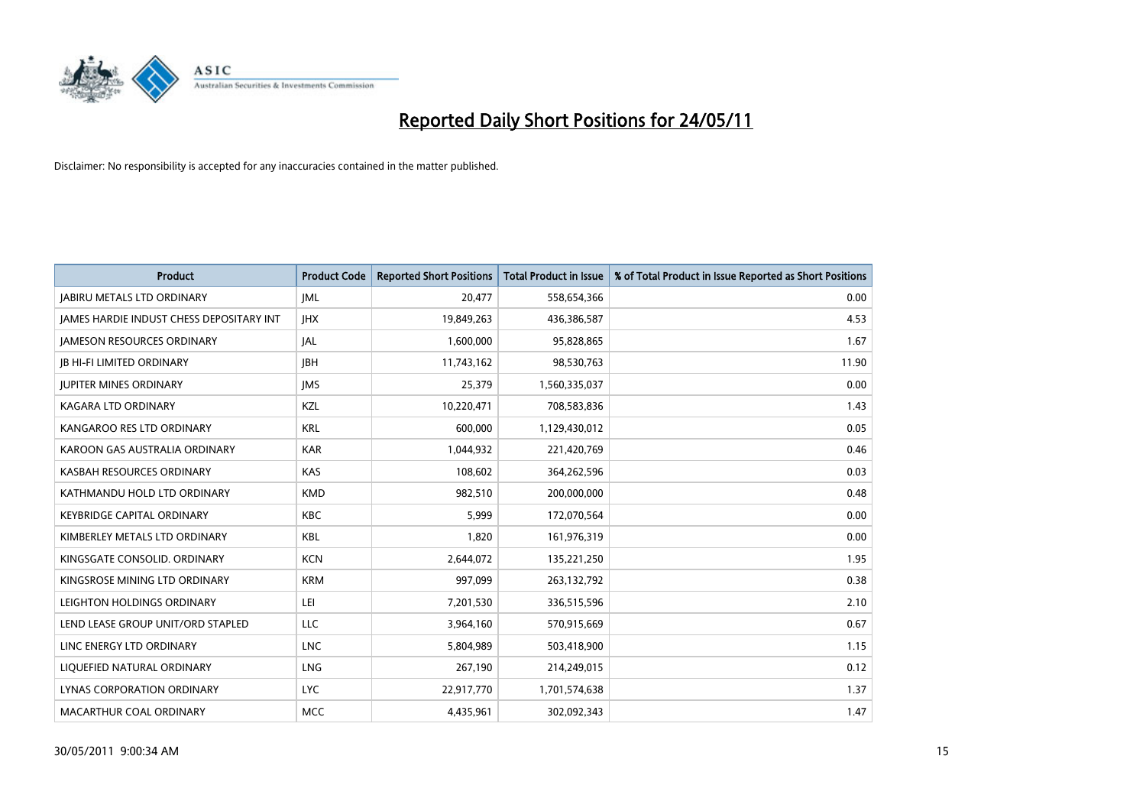

| <b>Product</b>                                  | <b>Product Code</b> | <b>Reported Short Positions</b> | <b>Total Product in Issue</b> | % of Total Product in Issue Reported as Short Positions |
|-------------------------------------------------|---------------------|---------------------------------|-------------------------------|---------------------------------------------------------|
| <b>JABIRU METALS LTD ORDINARY</b>               | JML                 | 20,477                          | 558,654,366                   | 0.00                                                    |
| <b>JAMES HARDIE INDUST CHESS DEPOSITARY INT</b> | <b>IHX</b>          | 19,849,263                      | 436,386,587                   | 4.53                                                    |
| <b>JAMESON RESOURCES ORDINARY</b>               | <b>JAL</b>          | 1,600,000                       | 95,828,865                    | 1.67                                                    |
| <b>JB HI-FI LIMITED ORDINARY</b>                | <b>IBH</b>          | 11,743,162                      | 98,530,763                    | 11.90                                                   |
| <b>JUPITER MINES ORDINARY</b>                   | <b>IMS</b>          | 25,379                          | 1,560,335,037                 | 0.00                                                    |
| KAGARA LTD ORDINARY                             | KZL                 | 10,220,471                      | 708,583,836                   | 1.43                                                    |
| KANGAROO RES LTD ORDINARY                       | <b>KRL</b>          | 600,000                         | 1,129,430,012                 | 0.05                                                    |
| KAROON GAS AUSTRALIA ORDINARY                   | <b>KAR</b>          | 1,044,932                       | 221,420,769                   | 0.46                                                    |
| KASBAH RESOURCES ORDINARY                       | <b>KAS</b>          | 108,602                         | 364,262,596                   | 0.03                                                    |
| KATHMANDU HOLD LTD ORDINARY                     | <b>KMD</b>          | 982,510                         | 200,000,000                   | 0.48                                                    |
| KEYBRIDGE CAPITAL ORDINARY                      | <b>KBC</b>          | 5,999                           | 172,070,564                   | 0.00                                                    |
| KIMBERLEY METALS LTD ORDINARY                   | <b>KBL</b>          | 1,820                           | 161,976,319                   | 0.00                                                    |
| KINGSGATE CONSOLID, ORDINARY                    | <b>KCN</b>          | 2,644,072                       | 135,221,250                   | 1.95                                                    |
| KINGSROSE MINING LTD ORDINARY                   | <b>KRM</b>          | 997,099                         | 263,132,792                   | 0.38                                                    |
| LEIGHTON HOLDINGS ORDINARY                      | LEI                 | 7,201,530                       | 336,515,596                   | 2.10                                                    |
| LEND LEASE GROUP UNIT/ORD STAPLED               | LLC                 | 3,964,160                       | 570,915,669                   | 0.67                                                    |
| LINC ENERGY LTD ORDINARY                        | <b>LNC</b>          | 5,804,989                       | 503,418,900                   | 1.15                                                    |
| LIQUEFIED NATURAL ORDINARY                      | LNG                 | 267,190                         | 214,249,015                   | 0.12                                                    |
| LYNAS CORPORATION ORDINARY                      | <b>LYC</b>          | 22,917,770                      | 1,701,574,638                 | 1.37                                                    |
| MACARTHUR COAL ORDINARY                         | <b>MCC</b>          | 4,435,961                       | 302,092,343                   | 1.47                                                    |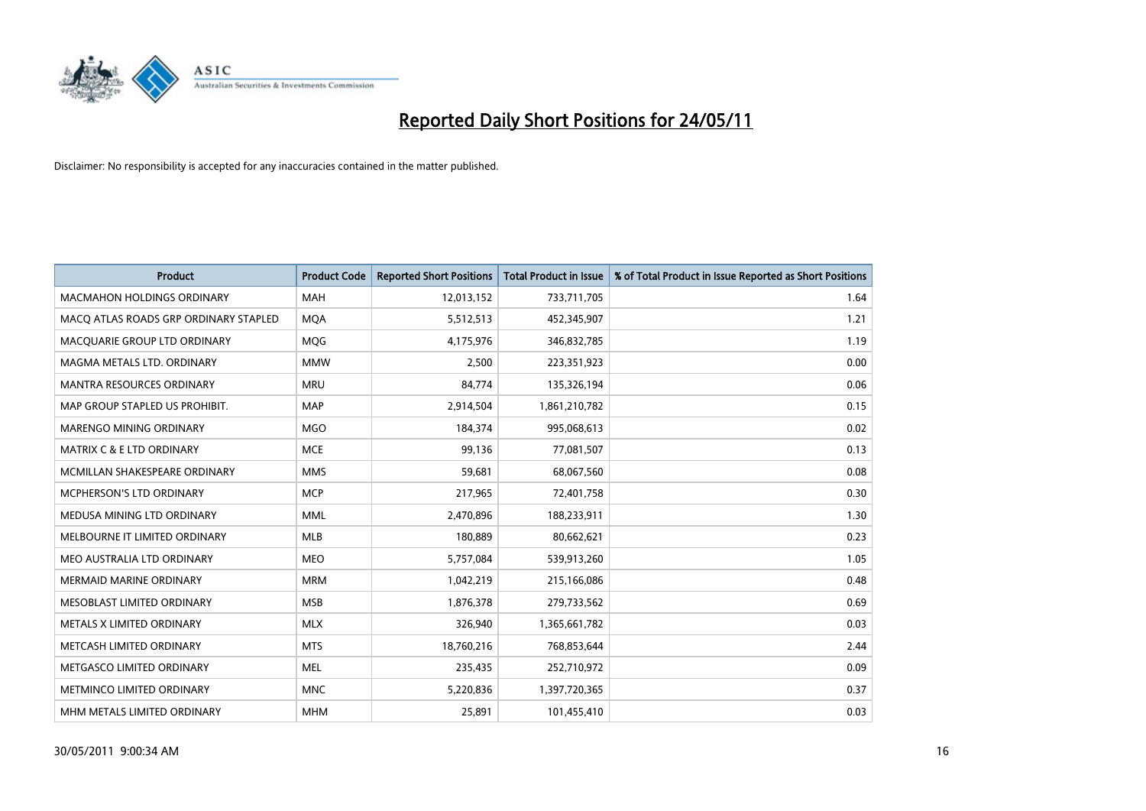

| <b>Product</b>                        | <b>Product Code</b> | <b>Reported Short Positions</b> | <b>Total Product in Issue</b> | % of Total Product in Issue Reported as Short Positions |
|---------------------------------------|---------------------|---------------------------------|-------------------------------|---------------------------------------------------------|
| <b>MACMAHON HOLDINGS ORDINARY</b>     | <b>MAH</b>          | 12,013,152                      | 733,711,705                   | 1.64                                                    |
| MACO ATLAS ROADS GRP ORDINARY STAPLED | <b>MQA</b>          | 5,512,513                       | 452,345,907                   | 1.21                                                    |
| MACQUARIE GROUP LTD ORDINARY          | MQG                 | 4,175,976                       | 346,832,785                   | 1.19                                                    |
| MAGMA METALS LTD. ORDINARY            | <b>MMW</b>          | 2,500                           | 223,351,923                   | 0.00                                                    |
| <b>MANTRA RESOURCES ORDINARY</b>      | <b>MRU</b>          | 84,774                          | 135,326,194                   | 0.06                                                    |
| MAP GROUP STAPLED US PROHIBIT.        | <b>MAP</b>          | 2,914,504                       | 1,861,210,782                 | 0.15                                                    |
| <b>MARENGO MINING ORDINARY</b>        | <b>MGO</b>          | 184,374                         | 995,068,613                   | 0.02                                                    |
| MATRIX C & E LTD ORDINARY             | <b>MCE</b>          | 99,136                          | 77,081,507                    | 0.13                                                    |
| MCMILLAN SHAKESPEARE ORDINARY         | <b>MMS</b>          | 59,681                          | 68,067,560                    | 0.08                                                    |
| <b>MCPHERSON'S LTD ORDINARY</b>       | <b>MCP</b>          | 217,965                         | 72,401,758                    | 0.30                                                    |
| MEDUSA MINING LTD ORDINARY            | <b>MML</b>          | 2,470,896                       | 188,233,911                   | 1.30                                                    |
| MELBOURNE IT LIMITED ORDINARY         | <b>MLB</b>          | 180,889                         | 80,662,621                    | 0.23                                                    |
| MEO AUSTRALIA LTD ORDINARY            | <b>MEO</b>          | 5,757,084                       | 539,913,260                   | 1.05                                                    |
| <b>MERMAID MARINE ORDINARY</b>        | <b>MRM</b>          | 1,042,219                       | 215,166,086                   | 0.48                                                    |
| MESOBLAST LIMITED ORDINARY            | <b>MSB</b>          | 1,876,378                       | 279,733,562                   | 0.69                                                    |
| METALS X LIMITED ORDINARY             | <b>MLX</b>          | 326,940                         | 1,365,661,782                 | 0.03                                                    |
| METCASH LIMITED ORDINARY              | <b>MTS</b>          | 18,760,216                      | 768,853,644                   | 2.44                                                    |
| METGASCO LIMITED ORDINARY             | <b>MEL</b>          | 235,435                         | 252,710,972                   | 0.09                                                    |
| METMINCO LIMITED ORDINARY             | <b>MNC</b>          | 5,220,836                       | 1,397,720,365                 | 0.37                                                    |
| MHM METALS LIMITED ORDINARY           | <b>MHM</b>          | 25,891                          | 101,455,410                   | 0.03                                                    |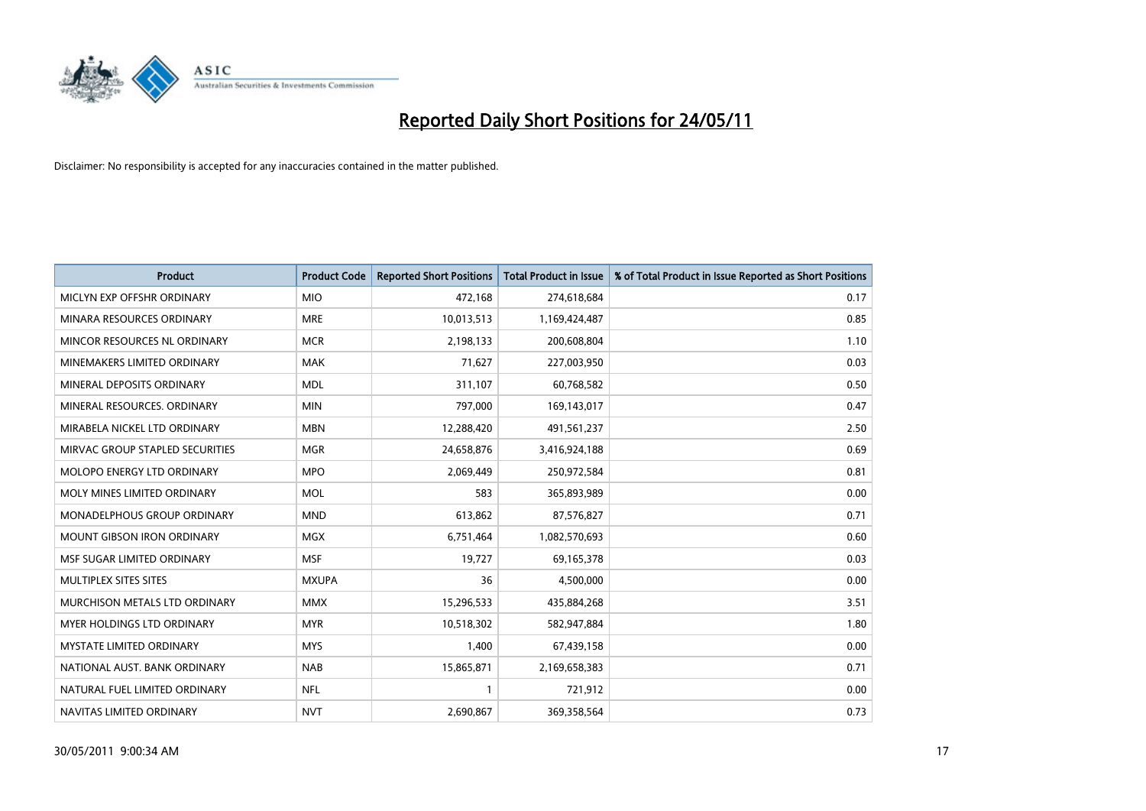

| <b>Product</b>                    | <b>Product Code</b> | <b>Reported Short Positions</b> | <b>Total Product in Issue</b> | % of Total Product in Issue Reported as Short Positions |
|-----------------------------------|---------------------|---------------------------------|-------------------------------|---------------------------------------------------------|
| MICLYN EXP OFFSHR ORDINARY        | <b>MIO</b>          | 472,168                         | 274,618,684                   | 0.17                                                    |
| MINARA RESOURCES ORDINARY         | <b>MRE</b>          | 10,013,513                      | 1,169,424,487                 | 0.85                                                    |
| MINCOR RESOURCES NL ORDINARY      | <b>MCR</b>          | 2,198,133                       | 200,608,804                   | 1.10                                                    |
| MINEMAKERS LIMITED ORDINARY       | <b>MAK</b>          | 71,627                          | 227,003,950                   | 0.03                                                    |
| MINERAL DEPOSITS ORDINARY         | <b>MDL</b>          | 311,107                         | 60,768,582                    | 0.50                                                    |
| MINERAL RESOURCES, ORDINARY       | <b>MIN</b>          | 797,000                         | 169,143,017                   | 0.47                                                    |
| MIRABELA NICKEL LTD ORDINARY      | <b>MBN</b>          | 12,288,420                      | 491,561,237                   | 2.50                                                    |
| MIRVAC GROUP STAPLED SECURITIES   | <b>MGR</b>          | 24,658,876                      | 3,416,924,188                 | 0.69                                                    |
| MOLOPO ENERGY LTD ORDINARY        | <b>MPO</b>          | 2,069,449                       | 250,972,584                   | 0.81                                                    |
| MOLY MINES LIMITED ORDINARY       | <b>MOL</b>          | 583                             | 365,893,989                   | 0.00                                                    |
| MONADELPHOUS GROUP ORDINARY       | <b>MND</b>          | 613,862                         | 87,576,827                    | 0.71                                                    |
| <b>MOUNT GIBSON IRON ORDINARY</b> | <b>MGX</b>          | 6,751,464                       | 1,082,570,693                 | 0.60                                                    |
| MSF SUGAR LIMITED ORDINARY        | <b>MSF</b>          | 19,727                          | 69,165,378                    | 0.03                                                    |
| MULTIPLEX SITES SITES             | <b>MXUPA</b>        | 36                              | 4,500,000                     | 0.00                                                    |
| MURCHISON METALS LTD ORDINARY     | <b>MMX</b>          | 15,296,533                      | 435,884,268                   | 3.51                                                    |
| MYER HOLDINGS LTD ORDINARY        | <b>MYR</b>          | 10,518,302                      | 582,947,884                   | 1.80                                                    |
| MYSTATE LIMITED ORDINARY          | <b>MYS</b>          | 1,400                           | 67,439,158                    | 0.00                                                    |
| NATIONAL AUST. BANK ORDINARY      | <b>NAB</b>          | 15,865,871                      | 2,169,658,383                 | 0.71                                                    |
| NATURAL FUEL LIMITED ORDINARY     | <b>NFL</b>          |                                 | 721,912                       | 0.00                                                    |
| NAVITAS LIMITED ORDINARY          | <b>NVT</b>          | 2,690,867                       | 369,358,564                   | 0.73                                                    |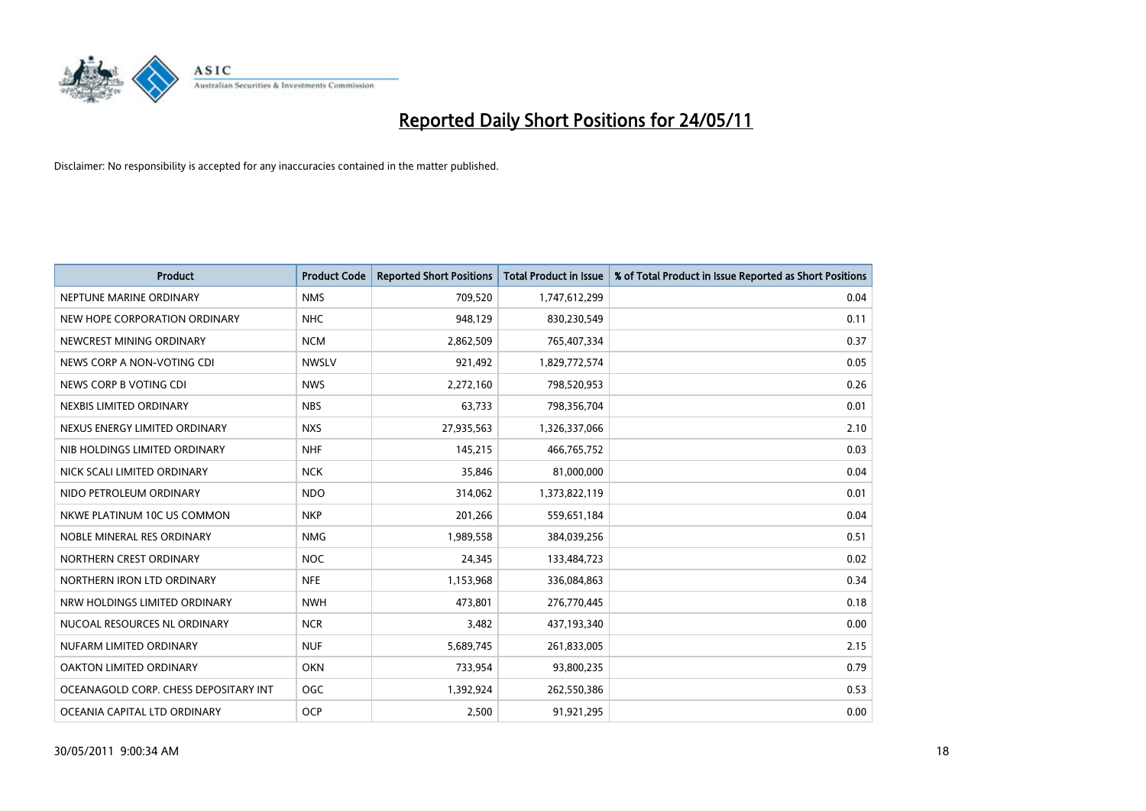

| <b>Product</b>                        | <b>Product Code</b> | <b>Reported Short Positions</b> | <b>Total Product in Issue</b> | % of Total Product in Issue Reported as Short Positions |
|---------------------------------------|---------------------|---------------------------------|-------------------------------|---------------------------------------------------------|
| NEPTUNE MARINE ORDINARY               | <b>NMS</b>          | 709,520                         | 1,747,612,299                 | 0.04                                                    |
| NEW HOPE CORPORATION ORDINARY         | <b>NHC</b>          | 948,129                         | 830,230,549                   | 0.11                                                    |
| NEWCREST MINING ORDINARY              | <b>NCM</b>          | 2,862,509                       | 765,407,334                   | 0.37                                                    |
| NEWS CORP A NON-VOTING CDI            | <b>NWSLV</b>        | 921,492                         | 1,829,772,574                 | 0.05                                                    |
| NEWS CORP B VOTING CDI                | <b>NWS</b>          | 2,272,160                       | 798,520,953                   | 0.26                                                    |
| NEXBIS LIMITED ORDINARY               | <b>NBS</b>          | 63,733                          | 798,356,704                   | 0.01                                                    |
| NEXUS ENERGY LIMITED ORDINARY         | <b>NXS</b>          | 27,935,563                      | 1,326,337,066                 | 2.10                                                    |
| NIB HOLDINGS LIMITED ORDINARY         | <b>NHF</b>          | 145,215                         | 466,765,752                   | 0.03                                                    |
| NICK SCALI LIMITED ORDINARY           | <b>NCK</b>          | 35,846                          | 81,000,000                    | 0.04                                                    |
| NIDO PETROLEUM ORDINARY               | <b>NDO</b>          | 314,062                         | 1,373,822,119                 | 0.01                                                    |
| NKWE PLATINUM 10C US COMMON           | <b>NKP</b>          | 201,266                         | 559,651,184                   | 0.04                                                    |
| NOBLE MINERAL RES ORDINARY            | <b>NMG</b>          | 1,989,558                       | 384,039,256                   | 0.51                                                    |
| NORTHERN CREST ORDINARY               | <b>NOC</b>          | 24,345                          | 133,484,723                   | 0.02                                                    |
| NORTHERN IRON LTD ORDINARY            | <b>NFE</b>          | 1,153,968                       | 336,084,863                   | 0.34                                                    |
| NRW HOLDINGS LIMITED ORDINARY         | <b>NWH</b>          | 473,801                         | 276,770,445                   | 0.18                                                    |
| NUCOAL RESOURCES NL ORDINARY          | <b>NCR</b>          | 3,482                           | 437,193,340                   | 0.00                                                    |
| NUFARM LIMITED ORDINARY               | <b>NUF</b>          | 5,689,745                       | 261,833,005                   | 2.15                                                    |
| OAKTON LIMITED ORDINARY               | <b>OKN</b>          | 733,954                         | 93,800,235                    | 0.79                                                    |
| OCEANAGOLD CORP. CHESS DEPOSITARY INT | <b>OGC</b>          | 1,392,924                       | 262,550,386                   | 0.53                                                    |
| OCEANIA CAPITAL LTD ORDINARY          | <b>OCP</b>          | 2.500                           | 91,921,295                    | 0.00                                                    |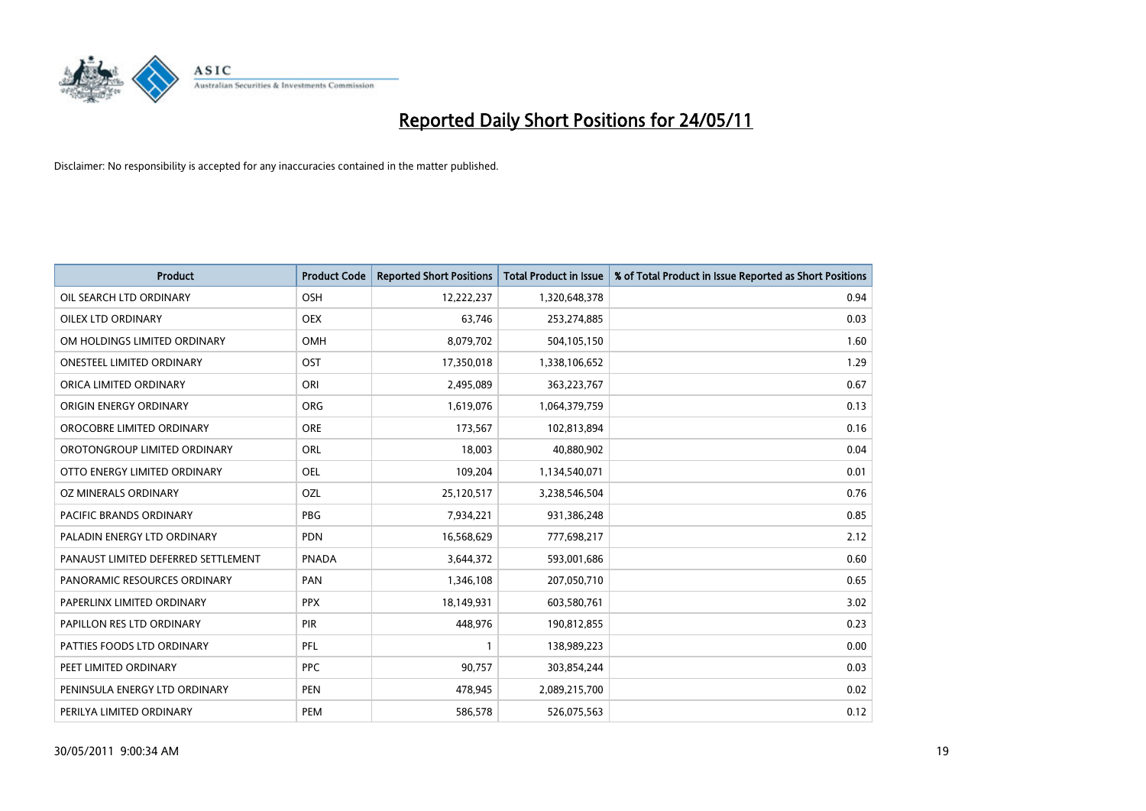

| <b>Product</b>                      | <b>Product Code</b> | <b>Reported Short Positions</b> | <b>Total Product in Issue</b> | % of Total Product in Issue Reported as Short Positions |
|-------------------------------------|---------------------|---------------------------------|-------------------------------|---------------------------------------------------------|
| OIL SEARCH LTD ORDINARY             | OSH                 | 12,222,237                      | 1,320,648,378                 | 0.94                                                    |
| OILEX LTD ORDINARY                  | <b>OEX</b>          | 63,746                          | 253,274,885                   | 0.03                                                    |
| OM HOLDINGS LIMITED ORDINARY        | <b>OMH</b>          | 8,079,702                       | 504,105,150                   | 1.60                                                    |
| ONESTEEL LIMITED ORDINARY           | OST                 | 17,350,018                      | 1,338,106,652                 | 1.29                                                    |
| ORICA LIMITED ORDINARY              | ORI                 | 2,495,089                       | 363,223,767                   | 0.67                                                    |
| ORIGIN ENERGY ORDINARY              | <b>ORG</b>          | 1,619,076                       | 1,064,379,759                 | 0.13                                                    |
| OROCOBRE LIMITED ORDINARY           | <b>ORE</b>          | 173,567                         | 102,813,894                   | 0.16                                                    |
| OROTONGROUP LIMITED ORDINARY        | ORL                 | 18,003                          | 40,880,902                    | 0.04                                                    |
| OTTO ENERGY LIMITED ORDINARY        | <b>OEL</b>          | 109,204                         | 1,134,540,071                 | 0.01                                                    |
| OZ MINERALS ORDINARY                | OZL                 | 25,120,517                      | 3,238,546,504                 | 0.76                                                    |
| PACIFIC BRANDS ORDINARY             | <b>PBG</b>          | 7,934,221                       | 931,386,248                   | 0.85                                                    |
| PALADIN ENERGY LTD ORDINARY         | PDN                 | 16,568,629                      | 777,698,217                   | 2.12                                                    |
| PANAUST LIMITED DEFERRED SETTLEMENT | <b>PNADA</b>        | 3,644,372                       | 593,001,686                   | 0.60                                                    |
| PANORAMIC RESOURCES ORDINARY        | PAN                 | 1,346,108                       | 207,050,710                   | 0.65                                                    |
| PAPERLINX LIMITED ORDINARY          | <b>PPX</b>          | 18,149,931                      | 603,580,761                   | 3.02                                                    |
| PAPILLON RES LTD ORDINARY           | PIR                 | 448,976                         | 190,812,855                   | 0.23                                                    |
| PATTIES FOODS LTD ORDINARY          | PFL                 |                                 | 138,989,223                   | 0.00                                                    |
| PEET LIMITED ORDINARY               | <b>PPC</b>          | 90,757                          | 303,854,244                   | 0.03                                                    |
| PENINSULA ENERGY LTD ORDINARY       | <b>PEN</b>          | 478,945                         | 2,089,215,700                 | 0.02                                                    |
| PERILYA LIMITED ORDINARY            | PEM                 | 586,578                         | 526,075,563                   | 0.12                                                    |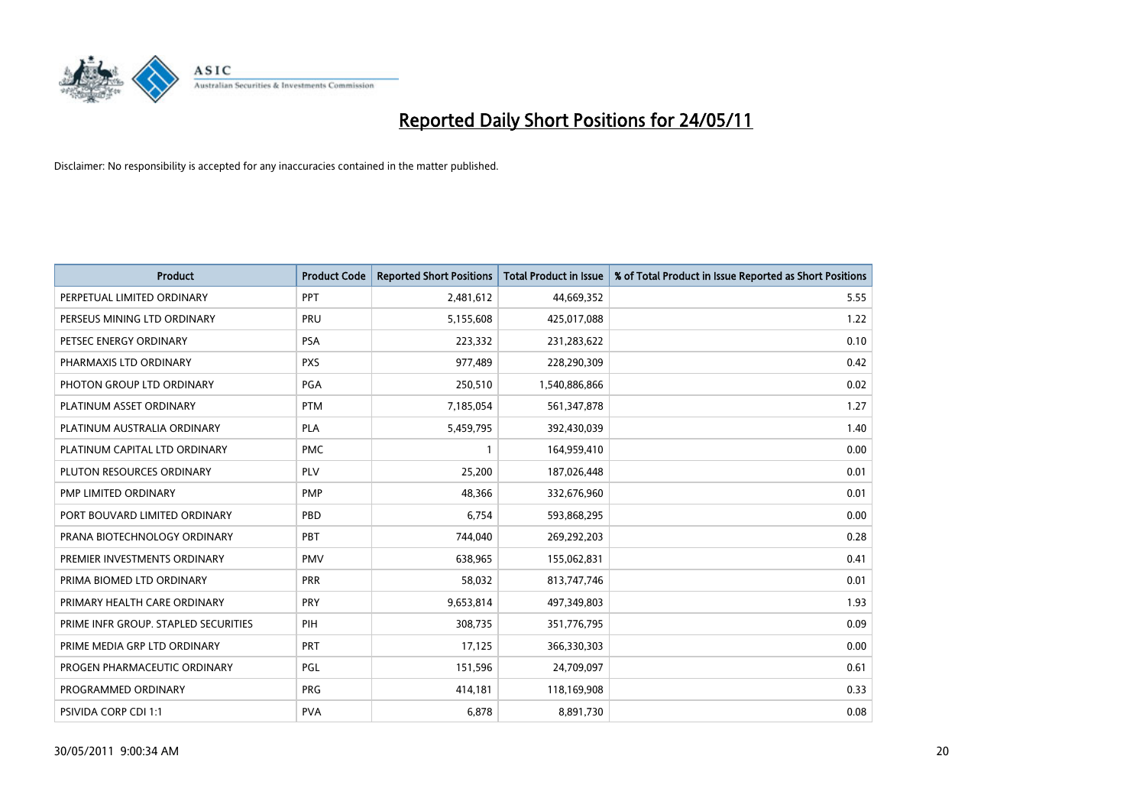

| <b>Product</b>                       | <b>Product Code</b> | <b>Reported Short Positions</b> | <b>Total Product in Issue</b> | % of Total Product in Issue Reported as Short Positions |
|--------------------------------------|---------------------|---------------------------------|-------------------------------|---------------------------------------------------------|
| PERPETUAL LIMITED ORDINARY           | PPT                 | 2,481,612                       | 44,669,352                    | 5.55                                                    |
| PERSEUS MINING LTD ORDINARY          | PRU                 | 5,155,608                       | 425,017,088                   | 1.22                                                    |
| PETSEC ENERGY ORDINARY               | <b>PSA</b>          | 223,332                         | 231,283,622                   | 0.10                                                    |
| PHARMAXIS LTD ORDINARY               | <b>PXS</b>          | 977,489                         | 228,290,309                   | 0.42                                                    |
| PHOTON GROUP LTD ORDINARY            | PGA                 | 250,510                         | 1,540,886,866                 | 0.02                                                    |
| PLATINUM ASSET ORDINARY              | <b>PTM</b>          | 7,185,054                       | 561,347,878                   | 1.27                                                    |
| PLATINUM AUSTRALIA ORDINARY          | PLA                 | 5,459,795                       | 392,430,039                   | 1.40                                                    |
| PLATINUM CAPITAL LTD ORDINARY        | <b>PMC</b>          |                                 | 164,959,410                   | 0.00                                                    |
| PLUTON RESOURCES ORDINARY            | PLV                 | 25,200                          | 187,026,448                   | 0.01                                                    |
| PMP LIMITED ORDINARY                 | <b>PMP</b>          | 48,366                          | 332,676,960                   | 0.01                                                    |
| PORT BOUVARD LIMITED ORDINARY        | PBD                 | 6,754                           | 593,868,295                   | 0.00                                                    |
| PRANA BIOTECHNOLOGY ORDINARY         | PBT                 | 744,040                         | 269,292,203                   | 0.28                                                    |
| PREMIER INVESTMENTS ORDINARY         | <b>PMV</b>          | 638,965                         | 155,062,831                   | 0.41                                                    |
| PRIMA BIOMED LTD ORDINARY            | <b>PRR</b>          | 58,032                          | 813,747,746                   | 0.01                                                    |
| PRIMARY HEALTH CARE ORDINARY         | <b>PRY</b>          | 9,653,814                       | 497,349,803                   | 1.93                                                    |
| PRIME INFR GROUP. STAPLED SECURITIES | PIH                 | 308,735                         | 351,776,795                   | 0.09                                                    |
| PRIME MEDIA GRP LTD ORDINARY         | <b>PRT</b>          | 17,125                          | 366,330,303                   | 0.00                                                    |
| PROGEN PHARMACEUTIC ORDINARY         | PGL                 | 151,596                         | 24,709,097                    | 0.61                                                    |
| PROGRAMMED ORDINARY                  | <b>PRG</b>          | 414,181                         | 118,169,908                   | 0.33                                                    |
| PSIVIDA CORP CDI 1:1                 | <b>PVA</b>          | 6,878                           | 8,891,730                     | 0.08                                                    |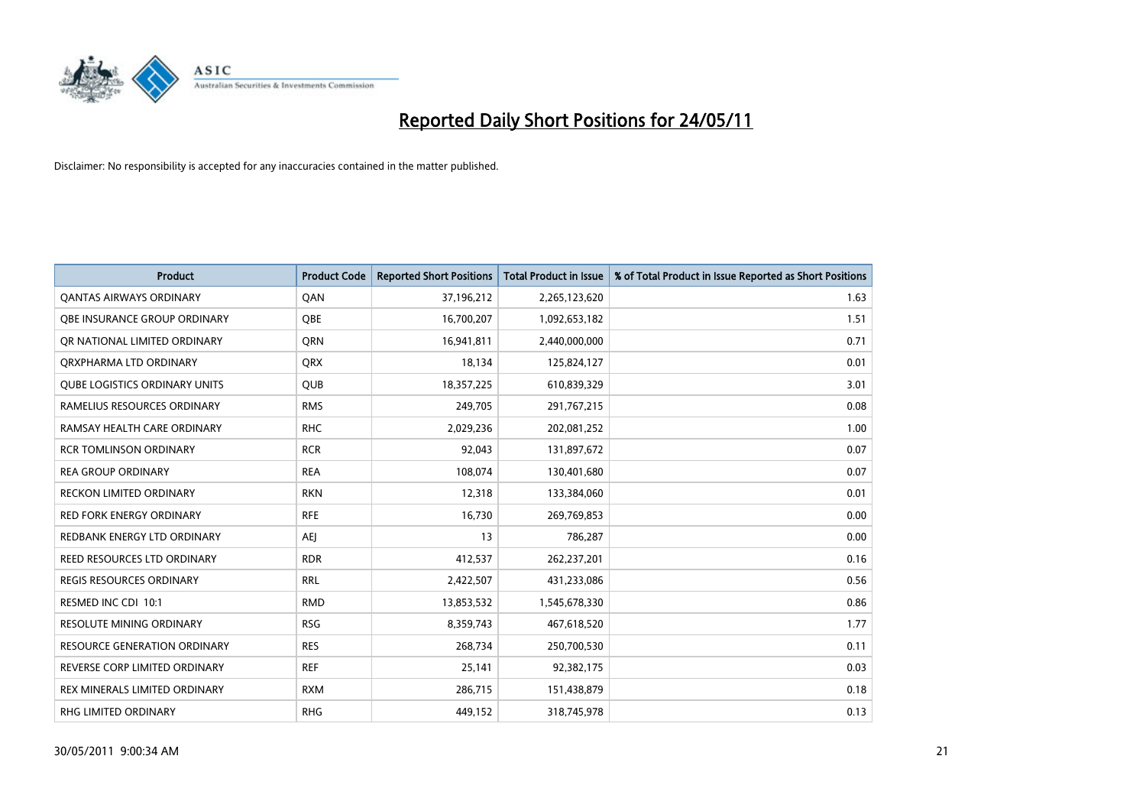

| <b>Product</b>                       | <b>Product Code</b> | <b>Reported Short Positions</b> | <b>Total Product in Issue</b> | % of Total Product in Issue Reported as Short Positions |
|--------------------------------------|---------------------|---------------------------------|-------------------------------|---------------------------------------------------------|
| <b>QANTAS AIRWAYS ORDINARY</b>       | QAN                 | 37,196,212                      | 2,265,123,620                 | 1.63                                                    |
| <b>OBE INSURANCE GROUP ORDINARY</b>  | OBE                 | 16,700,207                      | 1,092,653,182                 | 1.51                                                    |
| OR NATIONAL LIMITED ORDINARY         | <b>ORN</b>          | 16,941,811                      | 2,440,000,000                 | 0.71                                                    |
| ORXPHARMA LTD ORDINARY               | <b>ORX</b>          | 18,134                          | 125,824,127                   | 0.01                                                    |
| <b>QUBE LOGISTICS ORDINARY UNITS</b> | <b>QUB</b>          | 18,357,225                      | 610,839,329                   | 3.01                                                    |
| RAMELIUS RESOURCES ORDINARY          | <b>RMS</b>          | 249,705                         | 291,767,215                   | 0.08                                                    |
| RAMSAY HEALTH CARE ORDINARY          | <b>RHC</b>          | 2,029,236                       | 202,081,252                   | 1.00                                                    |
| <b>RCR TOMLINSON ORDINARY</b>        | <b>RCR</b>          | 92,043                          | 131,897,672                   | 0.07                                                    |
| <b>REA GROUP ORDINARY</b>            | <b>REA</b>          | 108,074                         | 130,401,680                   | 0.07                                                    |
| <b>RECKON LIMITED ORDINARY</b>       | <b>RKN</b>          | 12,318                          | 133,384,060                   | 0.01                                                    |
| <b>RED FORK ENERGY ORDINARY</b>      | <b>RFE</b>          | 16,730                          | 269,769,853                   | 0.00                                                    |
| REDBANK ENERGY LTD ORDINARY          | <b>AEI</b>          | 13                              | 786,287                       | 0.00                                                    |
| REED RESOURCES LTD ORDINARY          | <b>RDR</b>          | 412,537                         | 262,237,201                   | 0.16                                                    |
| <b>REGIS RESOURCES ORDINARY</b>      | <b>RRL</b>          | 2,422,507                       | 431,233,086                   | 0.56                                                    |
| RESMED INC CDI 10:1                  | <b>RMD</b>          | 13,853,532                      | 1,545,678,330                 | 0.86                                                    |
| <b>RESOLUTE MINING ORDINARY</b>      | <b>RSG</b>          | 8,359,743                       | 467,618,520                   | 1.77                                                    |
| <b>RESOURCE GENERATION ORDINARY</b>  | <b>RES</b>          | 268,734                         | 250,700,530                   | 0.11                                                    |
| REVERSE CORP LIMITED ORDINARY        | <b>REF</b>          | 25,141                          | 92,382,175                    | 0.03                                                    |
| REX MINERALS LIMITED ORDINARY        | <b>RXM</b>          | 286,715                         | 151,438,879                   | 0.18                                                    |
| RHG LIMITED ORDINARY                 | <b>RHG</b>          | 449,152                         | 318,745,978                   | 0.13                                                    |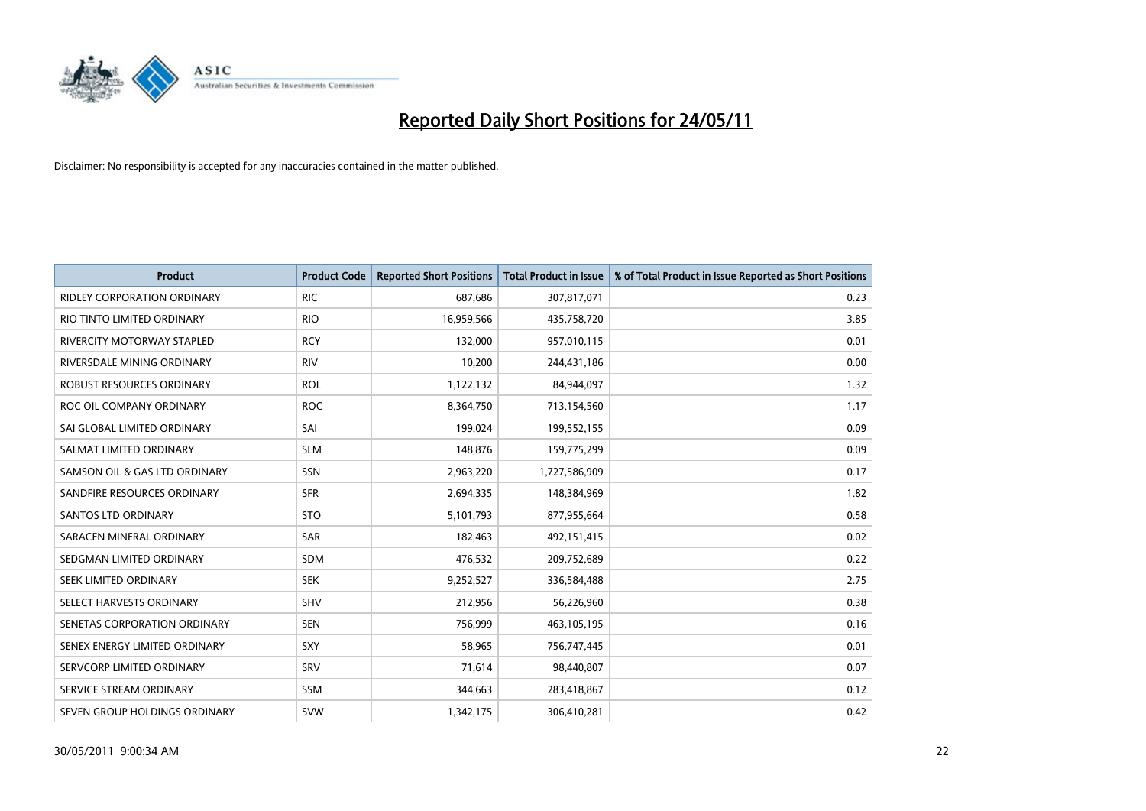

| <b>Product</b>                     | <b>Product Code</b> | <b>Reported Short Positions</b> | Total Product in Issue | % of Total Product in Issue Reported as Short Positions |
|------------------------------------|---------------------|---------------------------------|------------------------|---------------------------------------------------------|
| <b>RIDLEY CORPORATION ORDINARY</b> | <b>RIC</b>          | 687,686                         | 307,817,071            | 0.23                                                    |
| RIO TINTO LIMITED ORDINARY         | <b>RIO</b>          | 16,959,566                      | 435,758,720            | 3.85                                                    |
| RIVERCITY MOTORWAY STAPLED         | <b>RCY</b>          | 132,000                         | 957,010,115            | 0.01                                                    |
| RIVERSDALE MINING ORDINARY         | <b>RIV</b>          | 10,200                          | 244,431,186            | 0.00                                                    |
| ROBUST RESOURCES ORDINARY          | <b>ROL</b>          | 1,122,132                       | 84,944,097             | 1.32                                                    |
| ROC OIL COMPANY ORDINARY           | <b>ROC</b>          | 8,364,750                       | 713,154,560            | 1.17                                                    |
| SAI GLOBAL LIMITED ORDINARY        | SAI                 | 199,024                         | 199,552,155            | 0.09                                                    |
| SALMAT LIMITED ORDINARY            | <b>SLM</b>          | 148,876                         | 159,775,299            | 0.09                                                    |
| SAMSON OIL & GAS LTD ORDINARY      | SSN                 | 2,963,220                       | 1,727,586,909          | 0.17                                                    |
| SANDFIRE RESOURCES ORDINARY        | <b>SFR</b>          | 2,694,335                       | 148,384,969            | 1.82                                                    |
| <b>SANTOS LTD ORDINARY</b>         | <b>STO</b>          | 5,101,793                       | 877,955,664            | 0.58                                                    |
| SARACEN MINERAL ORDINARY           | <b>SAR</b>          | 182,463                         | 492,151,415            | 0.02                                                    |
| SEDGMAN LIMITED ORDINARY           | <b>SDM</b>          | 476,532                         | 209,752,689            | 0.22                                                    |
| SEEK LIMITED ORDINARY              | <b>SEK</b>          | 9,252,527                       | 336,584,488            | 2.75                                                    |
| SELECT HARVESTS ORDINARY           | SHV                 | 212,956                         | 56,226,960             | 0.38                                                    |
| SENETAS CORPORATION ORDINARY       | <b>SEN</b>          | 756,999                         | 463,105,195            | 0.16                                                    |
| SENEX ENERGY LIMITED ORDINARY      | SXY                 | 58,965                          | 756,747,445            | 0.01                                                    |
| SERVCORP LIMITED ORDINARY          | SRV                 | 71,614                          | 98,440,807             | 0.07                                                    |
| SERVICE STREAM ORDINARY            | SSM                 | 344,663                         | 283,418,867            | 0.12                                                    |
| SEVEN GROUP HOLDINGS ORDINARY      | <b>SVW</b>          | 1,342,175                       | 306,410,281            | 0.42                                                    |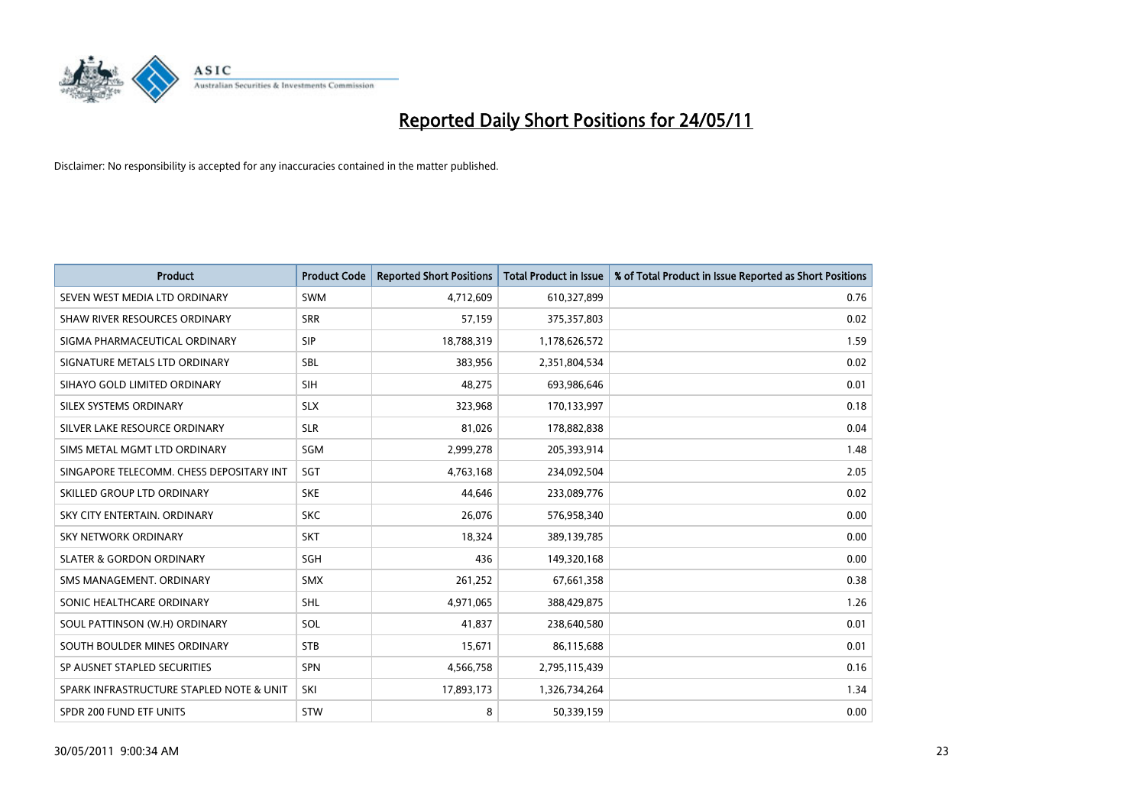

| <b>Product</b>                           | <b>Product Code</b> | <b>Reported Short Positions</b> | Total Product in Issue | % of Total Product in Issue Reported as Short Positions |
|------------------------------------------|---------------------|---------------------------------|------------------------|---------------------------------------------------------|
| SEVEN WEST MEDIA LTD ORDINARY            | <b>SWM</b>          | 4,712,609                       | 610,327,899            | 0.76                                                    |
| SHAW RIVER RESOURCES ORDINARY            | <b>SRR</b>          | 57,159                          | 375,357,803            | 0.02                                                    |
| SIGMA PHARMACEUTICAL ORDINARY            | <b>SIP</b>          | 18,788,319                      | 1,178,626,572          | 1.59                                                    |
| SIGNATURE METALS LTD ORDINARY            | <b>SBL</b>          | 383,956                         | 2,351,804,534          | 0.02                                                    |
| SIHAYO GOLD LIMITED ORDINARY             | <b>SIH</b>          | 48,275                          | 693,986,646            | 0.01                                                    |
| SILEX SYSTEMS ORDINARY                   | <b>SLX</b>          | 323,968                         | 170,133,997            | 0.18                                                    |
| SILVER LAKE RESOURCE ORDINARY            | <b>SLR</b>          | 81,026                          | 178,882,838            | 0.04                                                    |
| SIMS METAL MGMT LTD ORDINARY             | <b>SGM</b>          | 2,999,278                       | 205,393,914            | 1.48                                                    |
| SINGAPORE TELECOMM. CHESS DEPOSITARY INT | SGT                 | 4,763,168                       | 234,092,504            | 2.05                                                    |
| SKILLED GROUP LTD ORDINARY               | <b>SKE</b>          | 44.646                          | 233,089,776            | 0.02                                                    |
| SKY CITY ENTERTAIN, ORDINARY             | <b>SKC</b>          | 26,076                          | 576,958,340            | 0.00                                                    |
| <b>SKY NETWORK ORDINARY</b>              | <b>SKT</b>          | 18,324                          | 389,139,785            | 0.00                                                    |
| <b>SLATER &amp; GORDON ORDINARY</b>      | <b>SGH</b>          | 436                             | 149,320,168            | 0.00                                                    |
| SMS MANAGEMENT, ORDINARY                 | <b>SMX</b>          | 261,252                         | 67,661,358             | 0.38                                                    |
| SONIC HEALTHCARE ORDINARY                | <b>SHL</b>          | 4,971,065                       | 388,429,875            | 1.26                                                    |
| SOUL PATTINSON (W.H) ORDINARY            | SOL                 | 41,837                          | 238,640,580            | 0.01                                                    |
| SOUTH BOULDER MINES ORDINARY             | <b>STB</b>          | 15,671                          | 86,115,688             | 0.01                                                    |
| SP AUSNET STAPLED SECURITIES             | <b>SPN</b>          | 4,566,758                       | 2,795,115,439          | 0.16                                                    |
| SPARK INFRASTRUCTURE STAPLED NOTE & UNIT | SKI                 | 17,893,173                      | 1,326,734,264          | 1.34                                                    |
| SPDR 200 FUND ETF UNITS                  | STW                 | 8                               | 50,339,159             | 0.00                                                    |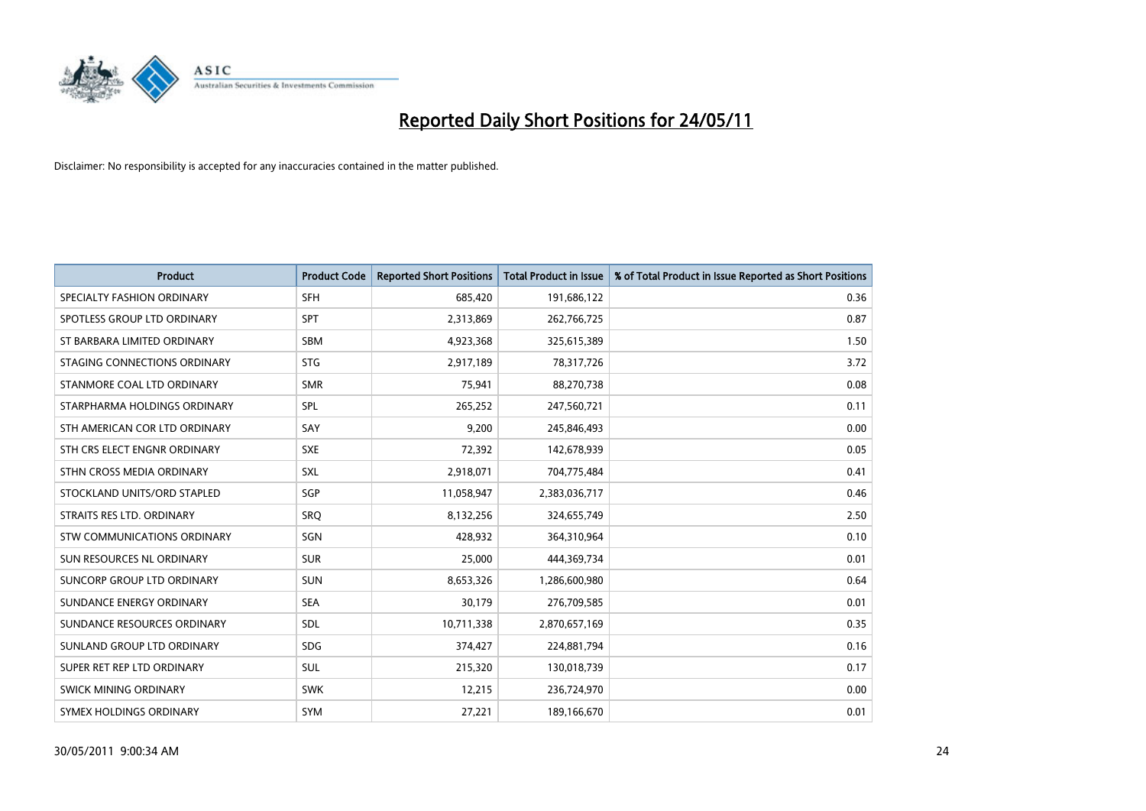

| <b>Product</b>                | <b>Product Code</b> | <b>Reported Short Positions</b> | <b>Total Product in Issue</b> | % of Total Product in Issue Reported as Short Positions |
|-------------------------------|---------------------|---------------------------------|-------------------------------|---------------------------------------------------------|
| SPECIALTY FASHION ORDINARY    | <b>SFH</b>          | 685,420                         | 191,686,122                   | 0.36                                                    |
| SPOTLESS GROUP LTD ORDINARY   | <b>SPT</b>          | 2,313,869                       | 262,766,725                   | 0.87                                                    |
| ST BARBARA LIMITED ORDINARY   | SBM                 | 4,923,368                       | 325,615,389                   | 1.50                                                    |
| STAGING CONNECTIONS ORDINARY  | <b>STG</b>          | 2,917,189                       | 78,317,726                    | 3.72                                                    |
| STANMORE COAL LTD ORDINARY    | <b>SMR</b>          | 75,941                          | 88,270,738                    | 0.08                                                    |
| STARPHARMA HOLDINGS ORDINARY  | SPL                 | 265,252                         | 247,560,721                   | 0.11                                                    |
| STH AMERICAN COR LTD ORDINARY | SAY                 | 9,200                           | 245,846,493                   | 0.00                                                    |
| STH CRS ELECT ENGNR ORDINARY  | <b>SXE</b>          | 72,392                          | 142,678,939                   | 0.05                                                    |
| STHN CROSS MEDIA ORDINARY     | <b>SXL</b>          | 2,918,071                       | 704,775,484                   | 0.41                                                    |
| STOCKLAND UNITS/ORD STAPLED   | <b>SGP</b>          | 11,058,947                      | 2,383,036,717                 | 0.46                                                    |
| STRAITS RES LTD. ORDINARY     | SRO                 | 8,132,256                       | 324,655,749                   | 2.50                                                    |
| STW COMMUNICATIONS ORDINARY   | SGN                 | 428,932                         | 364,310,964                   | 0.10                                                    |
| SUN RESOURCES NL ORDINARY     | <b>SUR</b>          | 25,000                          | 444,369,734                   | 0.01                                                    |
| SUNCORP GROUP LTD ORDINARY    | <b>SUN</b>          | 8,653,326                       | 1,286,600,980                 | 0.64                                                    |
| SUNDANCE ENERGY ORDINARY      | <b>SEA</b>          | 30,179                          | 276,709,585                   | 0.01                                                    |
| SUNDANCE RESOURCES ORDINARY   | <b>SDL</b>          | 10,711,338                      | 2,870,657,169                 | 0.35                                                    |
| SUNLAND GROUP LTD ORDINARY    | <b>SDG</b>          | 374,427                         | 224,881,794                   | 0.16                                                    |
| SUPER RET REP LTD ORDINARY    | SUL                 | 215,320                         | 130,018,739                   | 0.17                                                    |
| <b>SWICK MINING ORDINARY</b>  | <b>SWK</b>          | 12,215                          | 236,724,970                   | 0.00                                                    |
| SYMEX HOLDINGS ORDINARY       | <b>SYM</b>          | 27,221                          | 189,166,670                   | 0.01                                                    |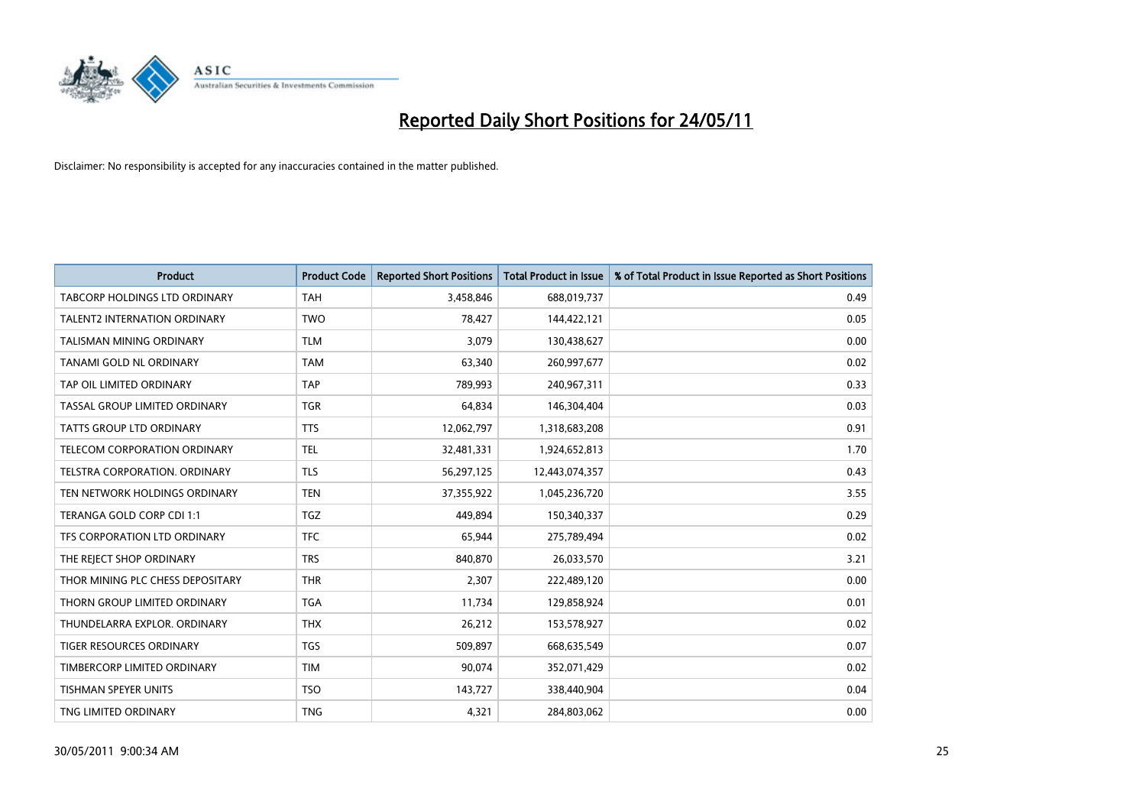

| <b>Product</b>                      | <b>Product Code</b> | <b>Reported Short Positions</b> | <b>Total Product in Issue</b> | % of Total Product in Issue Reported as Short Positions |
|-------------------------------------|---------------------|---------------------------------|-------------------------------|---------------------------------------------------------|
| TABCORP HOLDINGS LTD ORDINARY       | <b>TAH</b>          | 3,458,846                       | 688,019,737                   | 0.49                                                    |
| <b>TALENT2 INTERNATION ORDINARY</b> | <b>TWO</b>          | 78,427                          | 144,422,121                   | 0.05                                                    |
| TALISMAN MINING ORDINARY            | <b>TLM</b>          | 3,079                           | 130,438,627                   | 0.00                                                    |
| TANAMI GOLD NL ORDINARY             | <b>TAM</b>          | 63,340                          | 260,997,677                   | 0.02                                                    |
| TAP OIL LIMITED ORDINARY            | <b>TAP</b>          | 789,993                         | 240,967,311                   | 0.33                                                    |
| TASSAL GROUP LIMITED ORDINARY       | <b>TGR</b>          | 64,834                          | 146,304,404                   | 0.03                                                    |
| TATTS GROUP LTD ORDINARY            | <b>TTS</b>          | 12,062,797                      | 1,318,683,208                 | 0.91                                                    |
| TELECOM CORPORATION ORDINARY        | <b>TEL</b>          | 32,481,331                      | 1,924,652,813                 | 1.70                                                    |
| TELSTRA CORPORATION. ORDINARY       | <b>TLS</b>          | 56,297,125                      | 12,443,074,357                | 0.43                                                    |
| TEN NETWORK HOLDINGS ORDINARY       | <b>TEN</b>          | 37,355,922                      | 1,045,236,720                 | 3.55                                                    |
| TERANGA GOLD CORP CDI 1:1           | <b>TGZ</b>          | 449.894                         | 150,340,337                   | 0.29                                                    |
| TFS CORPORATION LTD ORDINARY        | <b>TFC</b>          | 65,944                          | 275,789,494                   | 0.02                                                    |
| THE REJECT SHOP ORDINARY            | <b>TRS</b>          | 840,870                         | 26,033,570                    | 3.21                                                    |
| THOR MINING PLC CHESS DEPOSITARY    | <b>THR</b>          | 2,307                           | 222,489,120                   | 0.00                                                    |
| THORN GROUP LIMITED ORDINARY        | <b>TGA</b>          | 11,734                          | 129,858,924                   | 0.01                                                    |
| THUNDELARRA EXPLOR, ORDINARY        | <b>THX</b>          | 26,212                          | 153,578,927                   | 0.02                                                    |
| TIGER RESOURCES ORDINARY            | <b>TGS</b>          | 509,897                         | 668,635,549                   | 0.07                                                    |
| TIMBERCORP LIMITED ORDINARY         | <b>TIM</b>          | 90,074                          | 352,071,429                   | 0.02                                                    |
| <b>TISHMAN SPEYER UNITS</b>         | <b>TSO</b>          | 143,727                         | 338,440,904                   | 0.04                                                    |
| TNG LIMITED ORDINARY                | <b>TNG</b>          | 4,321                           | 284,803,062                   | 0.00                                                    |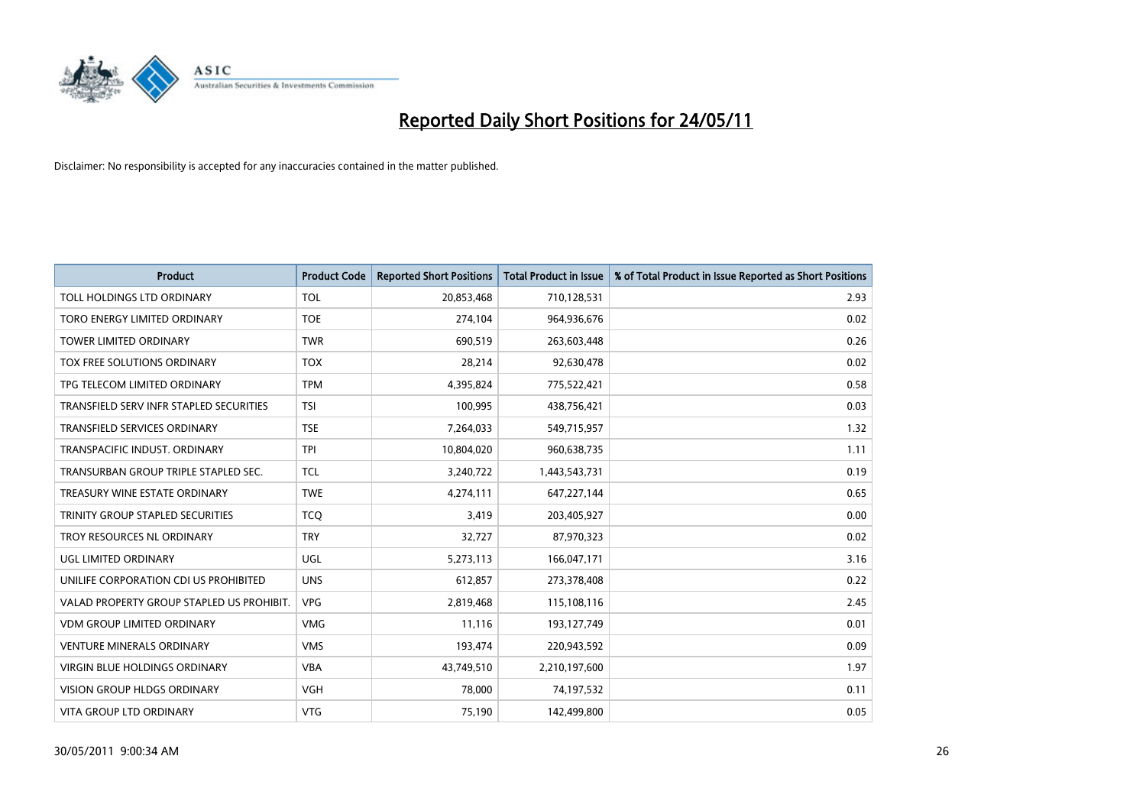

| <b>Product</b>                            | <b>Product Code</b> | <b>Reported Short Positions</b> | <b>Total Product in Issue</b> | % of Total Product in Issue Reported as Short Positions |
|-------------------------------------------|---------------------|---------------------------------|-------------------------------|---------------------------------------------------------|
| TOLL HOLDINGS LTD ORDINARY                | <b>TOL</b>          | 20,853,468                      | 710,128,531                   | 2.93                                                    |
| TORO ENERGY LIMITED ORDINARY              | <b>TOE</b>          | 274,104                         | 964,936,676                   | 0.02                                                    |
| <b>TOWER LIMITED ORDINARY</b>             | <b>TWR</b>          | 690,519                         | 263,603,448                   | 0.26                                                    |
| TOX FREE SOLUTIONS ORDINARY               | <b>TOX</b>          | 28,214                          | 92,630,478                    | 0.02                                                    |
| TPG TELECOM LIMITED ORDINARY              | <b>TPM</b>          | 4,395,824                       | 775,522,421                   | 0.58                                                    |
| TRANSFIELD SERV INFR STAPLED SECURITIES   | <b>TSI</b>          | 100,995                         | 438,756,421                   | 0.03                                                    |
| TRANSFIELD SERVICES ORDINARY              | <b>TSE</b>          | 7,264,033                       | 549,715,957                   | 1.32                                                    |
| TRANSPACIFIC INDUST. ORDINARY             | <b>TPI</b>          | 10,804,020                      | 960,638,735                   | 1.11                                                    |
| TRANSURBAN GROUP TRIPLE STAPLED SEC.      | <b>TCL</b>          | 3,240,722                       | 1,443,543,731                 | 0.19                                                    |
| TREASURY WINE ESTATE ORDINARY             | <b>TWE</b>          | 4,274,111                       | 647,227,144                   | 0.65                                                    |
| TRINITY GROUP STAPLED SECURITIES          | <b>TCO</b>          | 3,419                           | 203,405,927                   | 0.00                                                    |
| TROY RESOURCES NL ORDINARY                | <b>TRY</b>          | 32,727                          | 87,970,323                    | 0.02                                                    |
| UGL LIMITED ORDINARY                      | <b>UGL</b>          | 5,273,113                       | 166,047,171                   | 3.16                                                    |
| UNILIFE CORPORATION CDI US PROHIBITED     | <b>UNS</b>          | 612,857                         | 273,378,408                   | 0.22                                                    |
| VALAD PROPERTY GROUP STAPLED US PROHIBIT. | <b>VPG</b>          | 2,819,468                       | 115,108,116                   | 2.45                                                    |
| <b>VDM GROUP LIMITED ORDINARY</b>         | <b>VMG</b>          | 11,116                          | 193,127,749                   | 0.01                                                    |
| <b>VENTURE MINERALS ORDINARY</b>          | <b>VMS</b>          | 193,474                         | 220,943,592                   | 0.09                                                    |
| VIRGIN BLUE HOLDINGS ORDINARY             | <b>VBA</b>          | 43,749,510                      | 2,210,197,600                 | 1.97                                                    |
| <b>VISION GROUP HLDGS ORDINARY</b>        | <b>VGH</b>          | 78,000                          | 74,197,532                    | 0.11                                                    |
| VITA GROUP LTD ORDINARY                   | <b>VTG</b>          | 75,190                          | 142,499,800                   | 0.05                                                    |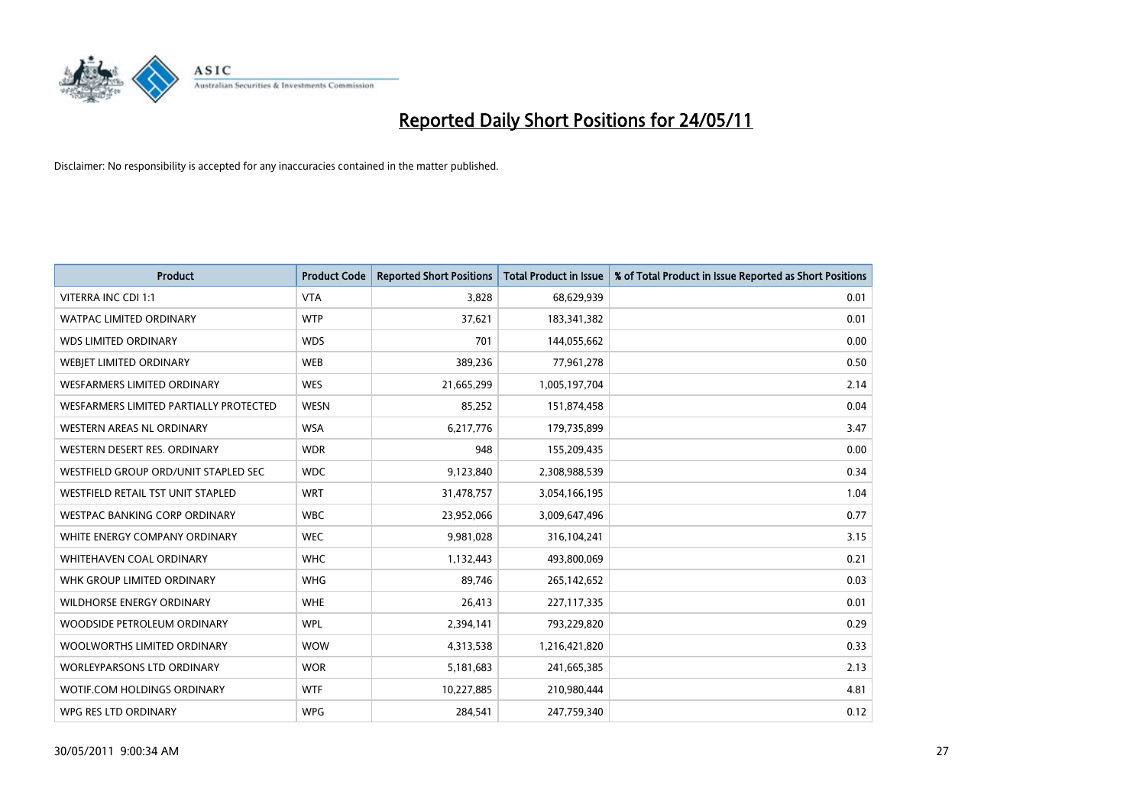

| <b>Product</b>                         | <b>Product Code</b> | <b>Reported Short Positions</b> | <b>Total Product in Issue</b> | % of Total Product in Issue Reported as Short Positions |
|----------------------------------------|---------------------|---------------------------------|-------------------------------|---------------------------------------------------------|
| VITERRA INC CDI 1:1                    | <b>VTA</b>          | 3,828                           | 68,629,939                    | 0.01                                                    |
| <b>WATPAC LIMITED ORDINARY</b>         | <b>WTP</b>          | 37,621                          | 183,341,382                   | 0.01                                                    |
| <b>WDS LIMITED ORDINARY</b>            | <b>WDS</b>          | 701                             | 144,055,662                   | 0.00                                                    |
| WEBJET LIMITED ORDINARY                | <b>WEB</b>          | 389,236                         | 77,961,278                    | 0.50                                                    |
| <b>WESFARMERS LIMITED ORDINARY</b>     | <b>WES</b>          | 21,665,299                      | 1,005,197,704                 | 2.14                                                    |
| WESFARMERS LIMITED PARTIALLY PROTECTED | <b>WESN</b>         | 85,252                          | 151,874,458                   | 0.04                                                    |
| <b>WESTERN AREAS NL ORDINARY</b>       | <b>WSA</b>          | 6,217,776                       | 179,735,899                   | 3.47                                                    |
| WESTERN DESERT RES. ORDINARY           | <b>WDR</b>          | 948                             | 155,209,435                   | 0.00                                                    |
| WESTFIELD GROUP ORD/UNIT STAPLED SEC   | <b>WDC</b>          | 9,123,840                       | 2,308,988,539                 | 0.34                                                    |
| WESTFIELD RETAIL TST UNIT STAPLED      | <b>WRT</b>          | 31,478,757                      | 3,054,166,195                 | 1.04                                                    |
| WESTPAC BANKING CORP ORDINARY          | <b>WBC</b>          | 23,952,066                      | 3,009,647,496                 | 0.77                                                    |
| WHITE ENERGY COMPANY ORDINARY          | <b>WEC</b>          | 9,981,028                       | 316,104,241                   | 3.15                                                    |
| WHITEHAVEN COAL ORDINARY               | <b>WHC</b>          | 1,132,443                       | 493,800,069                   | 0.21                                                    |
| WHK GROUP LIMITED ORDINARY             | <b>WHG</b>          | 89,746                          | 265,142,652                   | 0.03                                                    |
| <b>WILDHORSE ENERGY ORDINARY</b>       | <b>WHE</b>          | 26,413                          | 227,117,335                   | 0.01                                                    |
| WOODSIDE PETROLEUM ORDINARY            | <b>WPL</b>          | 2,394,141                       | 793,229,820                   | 0.29                                                    |
| WOOLWORTHS LIMITED ORDINARY            | <b>WOW</b>          | 4,313,538                       | 1,216,421,820                 | 0.33                                                    |
| <b>WORLEYPARSONS LTD ORDINARY</b>      | <b>WOR</b>          | 5,181,683                       | 241,665,385                   | 2.13                                                    |
| WOTIF.COM HOLDINGS ORDINARY            | <b>WTF</b>          | 10,227,885                      | 210,980,444                   | 4.81                                                    |
| WPG RES LTD ORDINARY                   | <b>WPG</b>          | 284,541                         | 247,759,340                   | 0.12                                                    |